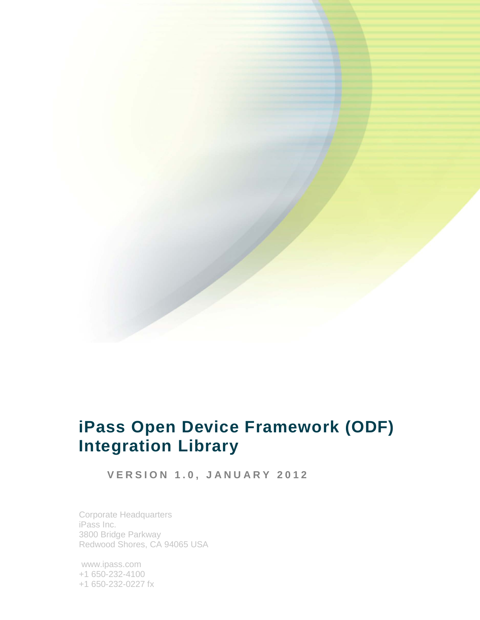

# **iPass Open Device Framework (ODF) Integration Library**

**VERSION 1.0, JANUARY 2012**

Corporate Headquarters iPass Inc. 3800 Bridge Parkway Redwood Shores, CA 94065 USA

www.ipass.com +1 650-232-4100 +1 650-232-0227 fx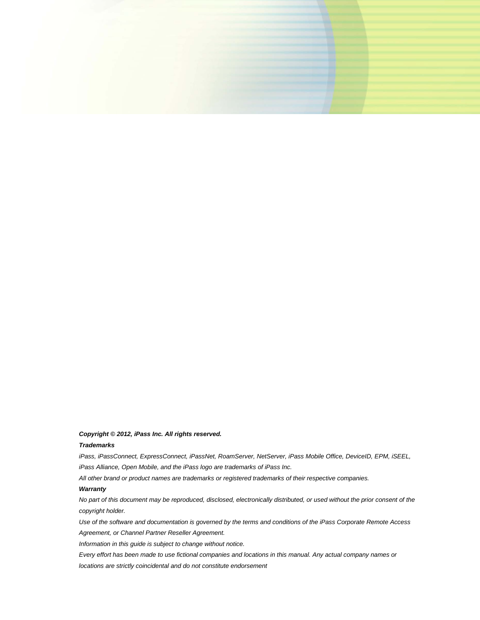

#### *Copyright © 2012, iPass Inc. All rights reserved.*

#### *Trademarks*

*iPass, iPassConnect, ExpressConnect, iPassNet, RoamServer, NetServer, iPass Mobile Office, DeviceID, EPM, iSEEL, iPass Alliance, Open Mobile, and the iPass logo are trademarks of iPass Inc.* 

*All other brand or product names are trademarks or registered trademarks of their respective companies.* 

#### *Warranty*

*No part of this document may be reproduced, disclosed, electronically distributed, or used without the prior consent of the copyright holder.* 

*Use of the software and documentation is governed by the terms and conditions of the iPass Corporate Remote Access Agreement, or Channel Partner Reseller Agreement.*

*Information in this guide is subject to change without notice.* 

*Every effort has been made to use fictional companies and locations in this manual. Any actual company names or locations are strictly coincidental and do not constitute endorsement*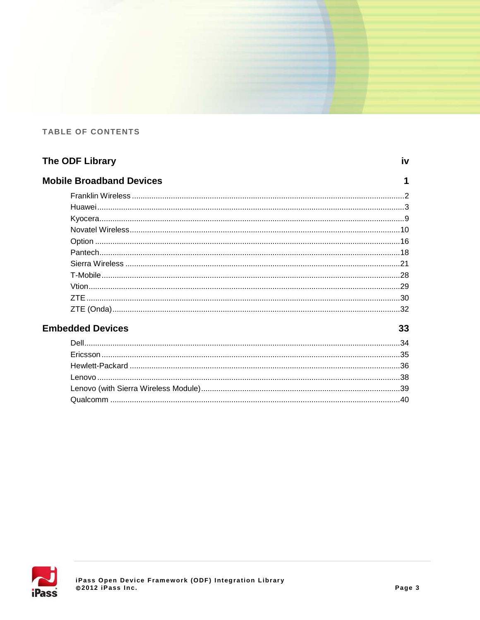#### **TABLE OF CONTENTS**

| The ODF Library                 | iv |
|---------------------------------|----|
| <b>Mobile Broadband Devices</b> |    |
|                                 |    |
|                                 |    |
|                                 |    |
|                                 |    |
|                                 |    |
|                                 |    |
|                                 |    |
|                                 |    |
|                                 |    |
|                                 |    |
|                                 |    |

## **Embedded Devices**



33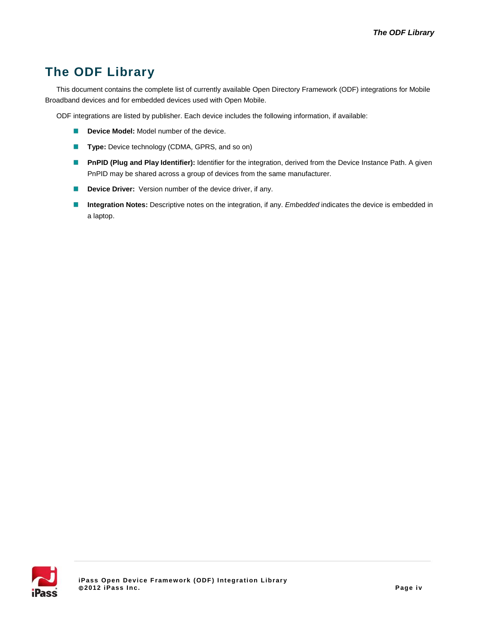## **The ODF Library**

This document contains the complete list of currently available Open Directory Framework (ODF) integrations for Mobile Broadband devices and for embedded devices used with Open Mobile.

ODF integrations are listed by publisher. Each device includes the following information, if available:

- $\mathbb{R}$ **Device Model:** Model number of the device.
- **Type:** Device technology (CDMA, GPRS, and so on)
- **PnPID** (Plug and Play Identifier): Identifier for the integration, derived from the Device Instance Path. A given PnPID may be shared across a group of devices from the same manufacturer.
- $\mathbb{R}^2$ **Device Driver:** Version number of the device driver, if any.
- K **Integration Notes:** Descriptive notes on the integration, if any. *Embedded* indicates the device is embedded in a laptop.

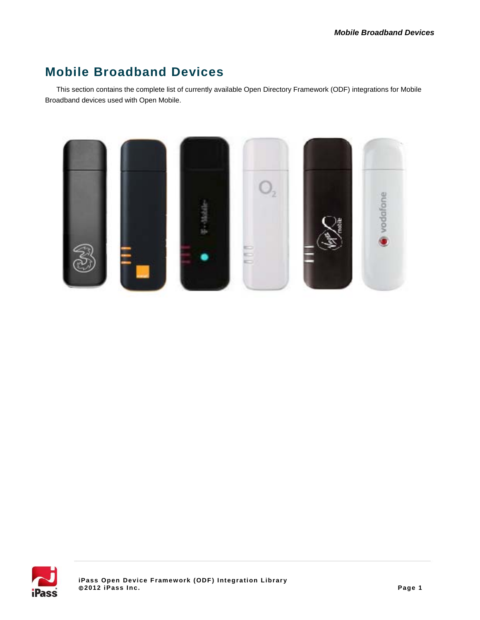## **Mobile Broadband Devices**

This section contains the complete list of currently available Open Directory Framework (ODF) integrations for Mobile Broadband devices used with Open Mobile.



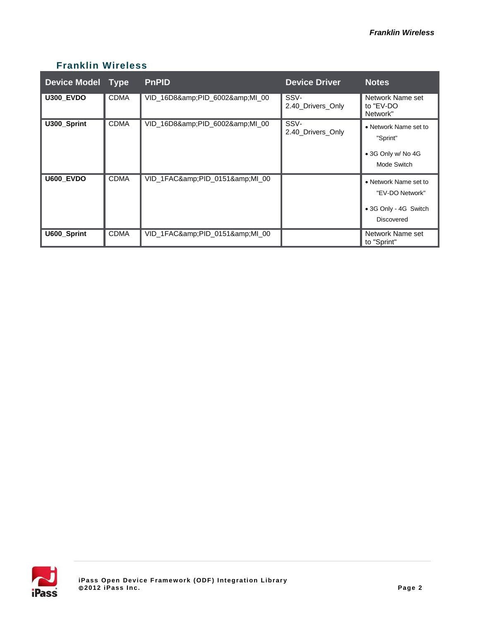## **Franklin Wireless**

| <b>Device Model Type</b> |             | <b>PnPID</b>            | <b>Device Driver</b>      | Notes                                                                                  |
|--------------------------|-------------|-------------------------|---------------------------|----------------------------------------------------------------------------------------|
| <b>U300_EVDO</b>         | <b>CDMA</b> | VID_16D8&PID_6002&MI_00 | SSV-<br>2.40 Drivers Only | Network Name set<br>to "EV-DO<br>Network"                                              |
| U300_Sprint              | <b>CDMA</b> | VID_16D8&PID_6002&MI_00 | SSV-<br>2.40 Drivers Only | • Network Name set to<br>"Sprint"<br>• 3G Only w/ No 4G<br>Mode Switch                 |
| U600 EVDO                | <b>CDMA</b> | VID_1FAC&PID_0151&MI_00 |                           | • Network Name set to<br>"EV-DO Network"<br>• 3G Only - 4G Switch<br><b>Discovered</b> |
| U600_Sprint              | <b>CDMA</b> | VID_1FAC&PID_0151&MI_00 |                           | Network Name set<br>to "Sprint"                                                        |

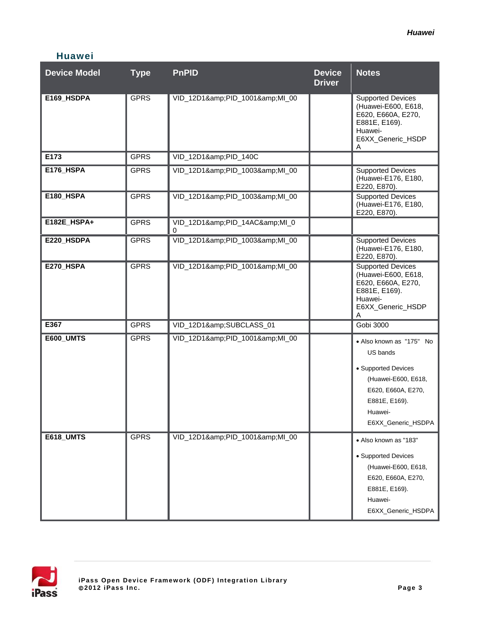| <b>Device Model</b> | <b>Type</b> | <b>PnPID</b>                | <b>Device</b><br><b>Driver</b> | <b>Notes</b>                                                                                                                                               |
|---------------------|-------------|-----------------------------|--------------------------------|------------------------------------------------------------------------------------------------------------------------------------------------------------|
| E169_HSDPA          | <b>GPRS</b> | VID_12D1&PID_1001&MI_00     |                                | <b>Supported Devices</b><br>(Huawei-E600, E618,<br>E620, E660A, E270,<br>E881E, E169).<br>Huawei-<br>E6XX_Generic_HSDP<br>A                                |
| E173                | <b>GPRS</b> | VID_12D1&PID_140C           |                                |                                                                                                                                                            |
| <b>E176_HSPA</b>    | <b>GPRS</b> | VID_12D1&PID_1003&MI_00     |                                | <b>Supported Devices</b><br>(Huawei-E176, E180,<br>E220, E870).                                                                                            |
| E180_HSPA           | <b>GPRS</b> | VID_12D1&PID_1003&MI_00     |                                | <b>Supported Devices</b><br>(Huawei-E176, E180,<br>E220, E870).                                                                                            |
| E182E_HSPA+         | <b>GPRS</b> | VID_12D1&PID_14AC&MI_0<br>0 |                                |                                                                                                                                                            |
| E220_HSDPA          | <b>GPRS</b> | VID_12D1&PID_1003&MI_00     |                                | <b>Supported Devices</b><br>(Huawei-E176, E180,<br>E220, E870).                                                                                            |
| E270_HSPA           | <b>GPRS</b> | VID_12D1&PID_1001&MI_00     |                                | <b>Supported Devices</b><br>(Huawei-E600, E618,<br>E620, E660A, E270,<br>E881E, E169).<br>Huawei-<br>E6XX_Generic_HSDP<br>A                                |
| E367                | <b>GPRS</b> | VID_12D1&SUBCLASS_01        |                                | Gobi 3000                                                                                                                                                  |
| <b>E600_UMTS</b>    | <b>GPRS</b> | VID_12D1&PID_1001&MI_00     |                                | • Also known as "175" No<br>US bands<br>• Supported Devices<br>(Huawei-E600, E618,<br>E620, E660A, E270,<br>E881E, E169).<br>Huawei-<br>E6XX_Generic_HSDPA |
| E618_UMTS           | <b>GPRS</b> | VID_12D1&PID_1001&MI_00     |                                | · Also known as "183"<br>• Supported Devices<br>(Huawei-E600, E618,<br>E620, E660A, E270,<br>E881E, E169).<br>Huawei-<br>E6XX_Generic_HSDPA                |

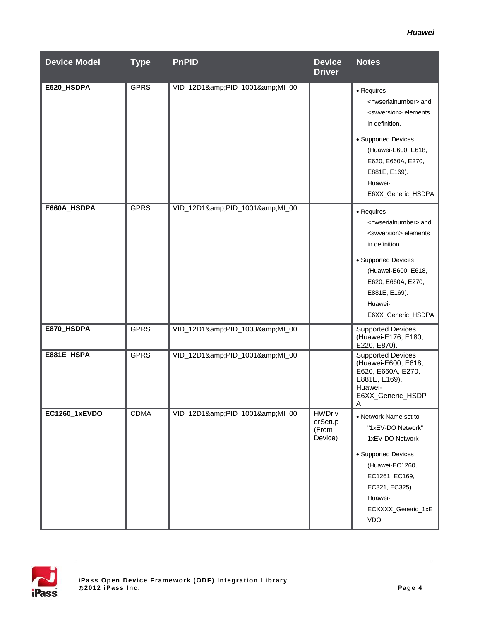| <b>Device Model</b> | <b>Type</b> | <b>PnPID</b>            | <b>Device</b><br><b>Driver</b>               | <b>Notes</b>                                                                                                                                                                                                                            |
|---------------------|-------------|-------------------------|----------------------------------------------|-----------------------------------------------------------------------------------------------------------------------------------------------------------------------------------------------------------------------------------------|
| E620_HSDPA          | <b>GPRS</b> | VID_12D1&PID_1001&MI_00 |                                              | • Requires<br><hwserialnumber> and<br/><swversion> elements<br/>in definition.<br/>• Supported Devices<br/>(Huawei-E600, E618,<br/>E620, E660A, E270,<br/>E881E, E169).<br/>Huawei-<br/>E6XX_Generic_HSDPA</swversion></hwserialnumber> |
| E660A HSDPA         | <b>GPRS</b> | VID_12D1&PID_1001&MI_00 |                                              | • Requires<br><hwserialnumber> and<br/><swversion> elements<br/>in definition<br/>• Supported Devices<br/>(Huawei-E600, E618,<br/>E620, E660A, E270,<br/>E881E, E169).<br/>Huawei-<br/>E6XX_Generic_HSDPA</swversion></hwserialnumber>  |
| E870_HSDPA          | <b>GPRS</b> | VID_12D1&PID_1003&MI_00 |                                              | <b>Supported Devices</b><br>(Huawei-E176, E180,<br>E220, E870).                                                                                                                                                                         |
| E881E_HSPA          | <b>GPRS</b> | VID_12D1&PID_1001&MI_00 |                                              | Supported Devices<br>(Huawei-E600, E618,<br>E620, E660A, E270,<br>E881E, E169).<br>Huawei-<br>E6XX_Generic_HSDP<br>$\mathsf{A}$                                                                                                         |
| EC1260_1xEVDO       | <b>CDMA</b> | VID_12D1&PID_1001&MI_00 | <b>HWDriv</b><br>erSetup<br>(From<br>Device) | • Network Name set to<br>"1xEV-DO Network"<br>1xEV-DO Network<br>• Supported Devices<br>(Huawei-EC1260,<br>EC1261, EC169,<br>EC321, EC325)<br>Huawei-<br>ECXXXX_Generic_1xE<br><b>VDO</b>                                               |

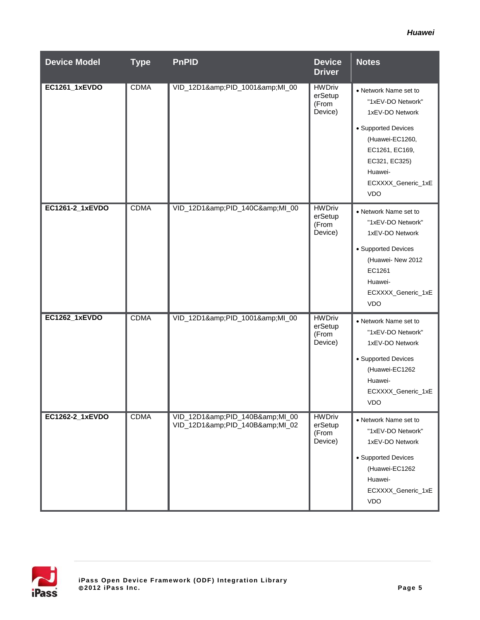| <b>Device Model</b> | <b>Type</b> | <b>PnPID</b>                                       | <b>Device</b><br><b>Driver</b>               | <b>Notes</b>                                                                                                                                                |
|---------------------|-------------|----------------------------------------------------|----------------------------------------------|-------------------------------------------------------------------------------------------------------------------------------------------------------------|
| EC1261_1xEVDO       | <b>CDMA</b> | VID_12D1&PID_1001&MI_00                            | <b>HWDriv</b><br>erSetup<br>(From<br>Device) | • Network Name set to<br>"1xEV-DO Network"<br>1xEV-DO Network<br>• Supported Devices<br>(Huawei-EC1260,<br>EC1261, EC169,<br>EC321, EC325)<br>Huawei-       |
|                     |             |                                                    |                                              | ECXXXX_Generic_1xE<br>VDO                                                                                                                                   |
| EC1261-2_1xEVDO     | <b>CDMA</b> | VID_12D1&PID_140C&MI_00                            | <b>HWDriv</b><br>erSetup<br>(From<br>Device) | • Network Name set to<br>"1xEV-DO Network"<br>1xEV-DO Network<br>• Supported Devices<br>(Huawei- New 2012<br>EC1261<br>Huawei-<br>ECXXXX_Generic_1xE<br>VDO |
| EC1262_1xEVDO       | <b>CDMA</b> | VID_12D1&PID_1001&MI_00                            | <b>HWDriv</b><br>erSetup<br>(From<br>Device) | • Network Name set to<br>"1xEV-DO Network"<br>1xEV-DO Network<br>• Supported Devices<br>(Huawei-EC1262<br>Huawei-<br>ECXXXX_Generic_1xE<br>VDO              |
| EC1262-2_1xEVDO     | <b>CDMA</b> | VID_12D1&PID_140B&MI_00<br>VID_12D1&PID_140B&MI_02 | <b>HWDriv</b><br>erSetup<br>(From<br>Device) | • Network Name set to<br>"1xEV-DO Network"<br>1xEV-DO Network<br>• Supported Devices<br>(Huawei-EC1262<br>Huawei-<br>ECXXXX_Generic_1xE<br>VDO              |

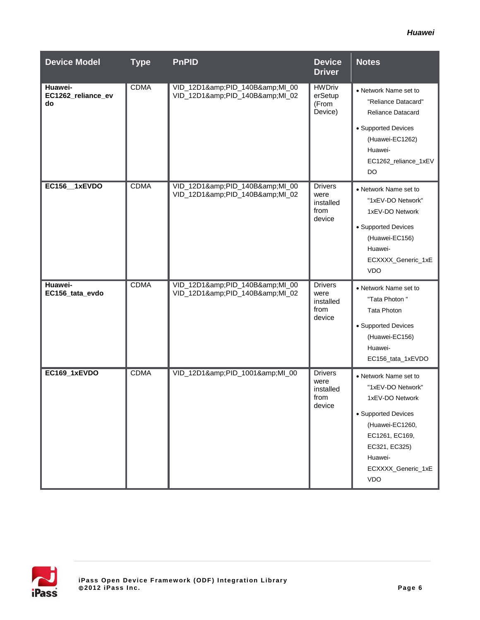| <b>Device Model</b>                 | <b>Type</b> | <b>PnPID</b>                                       | <b>Device</b><br><b>Driver</b>                        | <b>Notes</b>                                                                                                                                                                              |
|-------------------------------------|-------------|----------------------------------------------------|-------------------------------------------------------|-------------------------------------------------------------------------------------------------------------------------------------------------------------------------------------------|
| Huawei-<br>EC1262_reliance_ev<br>do | <b>CDMA</b> | VID_12D1&PID_140B&MI_00<br>VID_12D1&PID_140B&MI_02 | <b>HWDriv</b><br>erSetup<br>(From<br>Device)          | • Network Name set to<br>"Reliance Datacard"<br><b>Reliance Datacard</b><br>• Supported Devices<br>(Huawei-EC1262)<br>Huawei-<br>EC1262_reliance_1xEV<br><b>DO</b>                        |
| EC156_1xEVDO                        | <b>CDMA</b> | VID_12D1&PID_140B&MI_00<br>VID_12D1&PID_140B&MI_02 | <b>Drivers</b><br>were<br>installed<br>from<br>device | • Network Name set to<br>"1xEV-DO Network"<br>1xEV-DO Network<br>• Supported Devices<br>(Huawei-EC156)<br>Huawei-<br>ECXXXX_Generic_1xE<br><b>VDO</b>                                     |
| Huawei-<br>EC156_tata_evdo          | <b>CDMA</b> | VID_12D1&PID_140B&MI_00<br>VID_12D1&PID_140B&MI_02 | <b>Drivers</b><br>were<br>installed<br>from<br>device | • Network Name set to<br>"Tata Photon"<br><b>Tata Photon</b><br>• Supported Devices<br>(Huawei-EC156)<br>Huawei-<br>EC156_tata_1xEVDO                                                     |
| EC169_1xEVDO                        | <b>CDMA</b> | VID_12D1&PID_1001&MI_00                            | <b>Drivers</b><br>were<br>installed<br>from<br>device | • Network Name set to<br>"1xEV-DO Network"<br>1xEV-DO Network<br>• Supported Devices<br>(Huawei-EC1260,<br>EC1261, EC169,<br>EC321, EC325)<br>Huawei-<br>ECXXXX_Generic_1xE<br><b>VDO</b> |

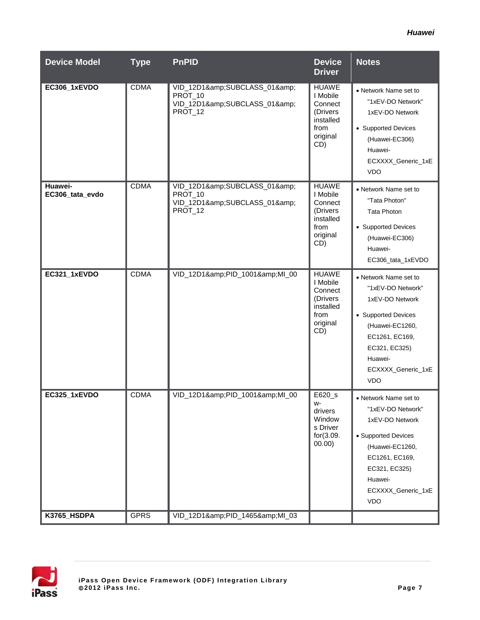| <b>Device Model</b>        | <b>Type</b> | <b>PnPID</b>                                                         | <b>Device</b><br><b>Driver</b>                                                           | <b>Notes</b>                                                                                                                                                                              |
|----------------------------|-------------|----------------------------------------------------------------------|------------------------------------------------------------------------------------------|-------------------------------------------------------------------------------------------------------------------------------------------------------------------------------------------|
| EC306_1xEVDO               | <b>CDMA</b> | VID_12D1&SUBCLASS_01&<br>PROT_10<br>VID_12D1&SUBCLASS_01&<br>PROT 12 | <b>HUAWE</b><br>I Mobile<br>Connect<br>(Drivers)<br>installed<br>from<br>original<br>CD) | • Network Name set to<br>"1xEV-DO Network"<br>1xEV-DO Network<br>• Supported Devices<br>(Huawei-EC306)<br>Huawei-<br>ECXXXX_Generic_1xE<br><b>VDO</b>                                     |
| Huawei-<br>EC306_tata_evdo | <b>CDMA</b> | VID_12D1&SUBCLASS_01&<br>PROT_10<br>VID_12D1&SUBCLASS_01&<br>PROT_12 | <b>HUAWE</b><br>I Mobile<br>Connect<br>(Drivers<br>installed<br>from<br>original<br>CD)  | • Network Name set to<br>"Tata Photon"<br><b>Tata Photon</b><br>• Supported Devices<br>(Huawei-EC306)<br>Huawei-<br>EC306_tata_1xEVDO                                                     |
| EC321_1xEVDO               | <b>CDMA</b> | VID_12D1&PID_1001&MI_00                                              | <b>HUAWE</b><br>I Mobile<br>Connect<br>(Drivers<br>installed<br>from<br>original<br>CD)  | • Network Name set to<br>"1xEV-DO Network"<br>1xEV-DO Network<br>• Supported Devices<br>(Huawei-EC1260,<br>EC1261, EC169,<br>EC321, EC325)<br>Huawei-<br>ECXXXX_Generic_1xE<br><b>VDO</b> |
| EC325_1xEVDO               | <b>CDMA</b> | VID_12D1&PID_1001&MI_00                                              | E620_s<br>W-<br>drivers<br>Window<br>s Driver<br>for(3.09.<br>00.00)                     | • Network Name set to<br>"1xEV-DO Network"<br>1xEV-DO Network<br>• Supported Devices<br>(Huawei-EC1260,<br>EC1261, EC169,<br>EC321, EC325)<br>Huawei-<br>ECXXXX_Generic_1xE<br><b>VDO</b> |
| K3765_HSDPA                | <b>GPRS</b> | VID_12D1&PID_1465&MI_03                                              |                                                                                          |                                                                                                                                                                                           |

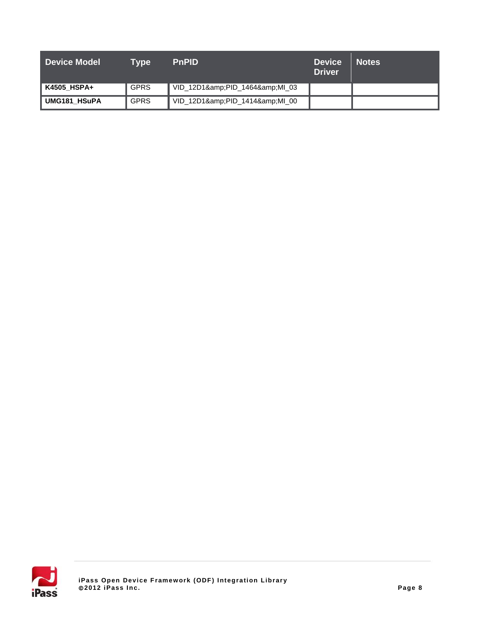| <b>Device Model</b> | Tvpe        | <b>PnPID</b>            | <b>Device</b><br><b>Driver</b> | <b>Notes</b> |
|---------------------|-------------|-------------------------|--------------------------------|--------------|
| K4505 HSPA+         | <b>GPRS</b> | VID_12D1&PID_1464&MI_03 |                                |              |
| UMG181 HSuPA        | <b>GPRS</b> | VID_12D1&PID_1414&MI_00 |                                |              |

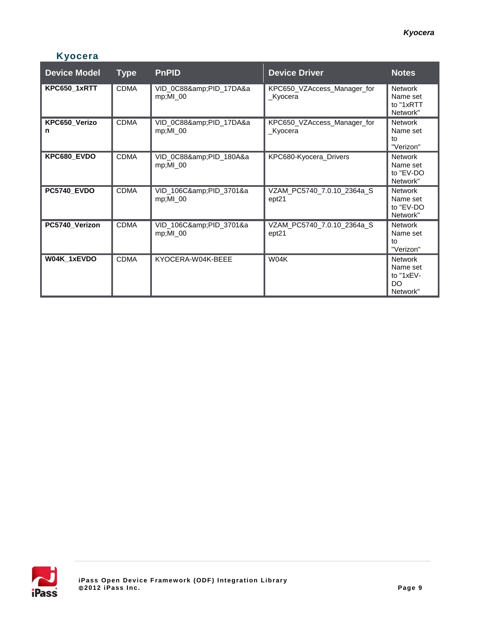## **Kyocera**

| <b>Device Model</b> | <b>Type</b> | <b>PnPID</b>                            | <b>Device Driver</b>                            | <b>Notes</b>                                                |
|---------------------|-------------|-----------------------------------------|-------------------------------------------------|-------------------------------------------------------------|
| KPC650_1xRTT        | <b>CDMA</b> | VID_0C88&PID_17DA&a<br>$mp;$ MI $_0$ 00 | KPC650_VZAccess_Manager_for<br>Kyocera          | <b>Network</b><br>Name set<br>to "1xRTT<br>Network"         |
| KPC650_Verizo<br>n  | <b>CDMA</b> | VID_0C88&PID_17DA&a<br>$mp;$ MI $_0$ 00 | KPC650_VZAccess_Manager_for<br>Kvocera          | <b>Network</b><br>Name set<br>to<br>"Verizon"               |
| KPC680_EVDO         | <b>CDMA</b> | VID_0C88&PID_180A&a<br>$mp;$ MI $_0$ 00 | KPC680-Kyocera_Drivers                          | <b>Network</b><br>Name set<br>to "EV-DO<br>Network"         |
| PC5740_EVDO         | <b>CDMA</b> | VID_106C&PID_3701&a<br>$mp;$ MI $_0$ 00 | VZAM_PC5740_7.0.10_2364a_S<br>ept <sub>21</sub> | <b>Network</b><br>Name set<br>to "EV-DO<br>Network"         |
| PC5740_Verizon      | <b>CDMA</b> | VID_106C&PID_3701&a<br>$mp;$ MI $_0$ 00 | VZAM_PC5740_7.0.10_2364a_S<br>ept <sub>21</sub> | <b>Network</b><br>Name set<br>tο<br>"Verizon"               |
| W04K_1xEVDO         | <b>CDMA</b> | KYOCERA-W04K-BEEE                       | W04K                                            | <b>Network</b><br>Name set<br>to $"1xEV-$<br>DO<br>Network" |

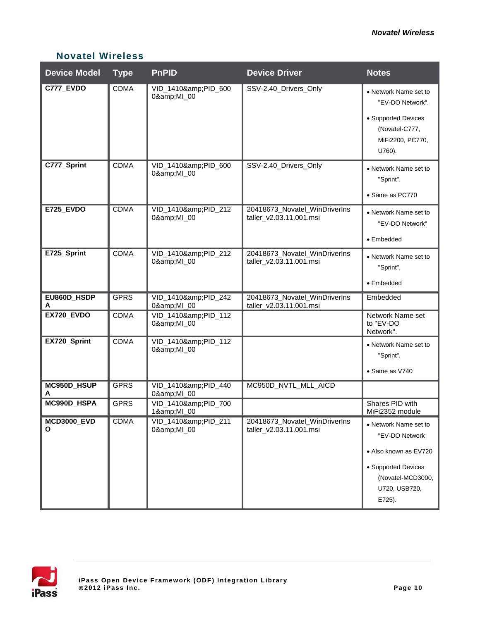| <b>Device Model</b>     | <b>Type</b> | <b>PnPID</b>                 | <b>Device Driver</b>                                     | <b>Notes</b>                                                                                                                            |
|-------------------------|-------------|------------------------------|----------------------------------------------------------|-----------------------------------------------------------------------------------------------------------------------------------------|
| C777_EVDO               | <b>CDMA</b> | VID_1410&PID_600<br>0&MI_00  | SSV-2.40_Drivers_Only                                    | • Network Name set to<br>"EV-DO Network".                                                                                               |
|                         |             |                              |                                                          | • Supported Devices<br>(Novatel-C777,<br>MiFi2200, PC770,<br>U760).                                                                     |
| C777_Sprint             | <b>CDMA</b> | VID_1410&PID_600<br>0&MI_00  | SSV-2.40_Drivers_Only                                    | • Network Name set to<br>"Sprint".<br>• Same as PC770                                                                                   |
| <b>E725_EVDO</b>        | <b>CDMA</b> | VID_1410&PID_212             | 20418673_Novatel_WinDriverIns                            |                                                                                                                                         |
|                         |             | 0&MI_00                      | taller_v2.03.11.001.msi                                  | • Network Name set to<br>"EV-DO Network"                                                                                                |
|                         |             |                              |                                                          | • Embedded                                                                                                                              |
| E725_Sprint             | <b>CDMA</b> | VID_1410&PID_212<br>0&MI_00  | 20418673_Novatel_WinDriverIns<br>taller_v2.03.11.001.msi | • Network Name set to<br>"Sprint".                                                                                                      |
|                         |             |                              |                                                          | $\bullet$ Embedded                                                                                                                      |
| EU860D_HSDP<br>A        | <b>GPRS</b> | VID_1410&PID_242<br>0&MI_00  | 20418673_Novatel_WinDriverIns<br>taller_v2.03.11.001.msi | Embedded                                                                                                                                |
| EX720_EVDO              | <b>CDMA</b> | VID_1410&PID_112<br>0&MI_00  |                                                          | Network Name set<br>to "EV-DO<br>Network".                                                                                              |
| EX720_Sprint            | <b>CDMA</b> | VID_1410&PID_112<br>0&MI_00  |                                                          | • Network Name set to<br>"Sprint".                                                                                                      |
|                         |             |                              |                                                          | · Same as V740                                                                                                                          |
| MC950D_HSUP<br>A        | <b>GPRS</b> | VID_1410&PID_440<br>0& MI_00 | MC950D_NVTL_MLL_AICD                                     |                                                                                                                                         |
| MC990D_HSPA             | <b>GPRS</b> | VID_1410&PID_700<br>1&MI_00  |                                                          | Shares PID with<br>MiFi2352 module                                                                                                      |
| <b>MCD3000_EVD</b><br>Ο | <b>CDMA</b> | VID_1410&PID_211<br>0&MI_00  | 20418673_Novatel_WinDriverIns<br>taller_v2.03.11.001.msi | • Network Name set to<br>"EV-DO Network<br>· Also known as EV720<br>• Supported Devices<br>(Novatel-MCD3000,<br>U720, USB720,<br>E725). |

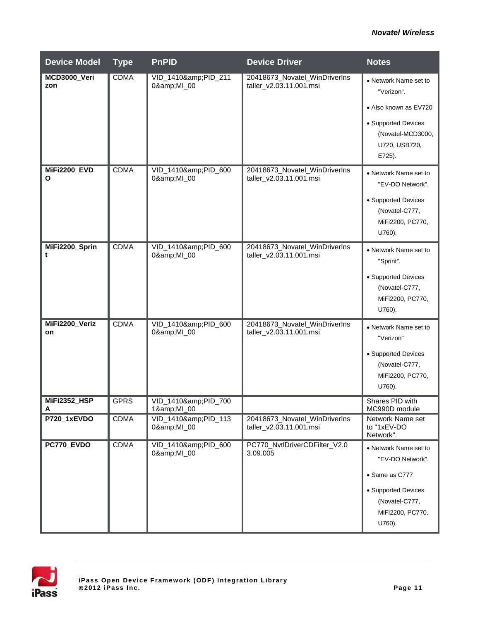| <b>Device Model</b>  | <b>Type</b> | <b>PnPID</b>                 | <b>Device Driver</b>                                     | <b>Notes</b>                                                        |
|----------------------|-------------|------------------------------|----------------------------------------------------------|---------------------------------------------------------------------|
| MCD3000_Veri<br>zon  | <b>CDMA</b> | VID_1410&PID_211<br>0&MI_00  | 20418673_Novatel_WinDriverIns<br>taller_v2.03.11.001.msi | • Network Name set to<br>"Verizon".                                 |
|                      |             |                              |                                                          | • Also known as EV720                                               |
|                      |             |                              |                                                          | • Supported Devices<br>(Novatel-MCD3000,<br>U720, USB720,<br>E725). |
| MiFi2200_EVD<br>O    | <b>CDMA</b> | VID_1410&PID_600<br>0& MI_00 | 20418673_Novatel_WinDriverIns<br>taller_v2.03.11.001.msi | • Network Name set to<br>"EV-DO Network".                           |
|                      |             |                              |                                                          | • Supported Devices<br>(Novatel-C777,<br>MiFi2200, PC770,<br>U760). |
| MiFi2200_Sprin<br>t  | <b>CDMA</b> | VID_1410&PID_600<br>0&MI_00  | 20418673_Novatel_WinDriverIns<br>taller_v2.03.11.001.msi | • Network Name set to<br>"Sprint".                                  |
|                      |             |                              |                                                          | • Supported Devices<br>(Novatel-C777,<br>MiFi2200, PC770,<br>U760). |
| MiFi2200_Veriz<br>on | <b>CDMA</b> | VID_1410&PID_600<br>0&MI_00  | 20418673_Novatel_WinDriverIns<br>taller_v2.03.11.001.msi | • Network Name set to<br>"Verizon"                                  |
|                      |             |                              |                                                          | • Supported Devices<br>(Novatel-C777,<br>MiFi2200, PC770,<br>U760). |
| MiFi2352_HSP<br>A    | <b>GPRS</b> | VID_1410&PID_700<br>1&MI_00  |                                                          | Shares PID with<br>MC990D module                                    |
| P720_1xEVDO          | <b>CDMA</b> | VID_1410&PID_113<br>0&MI_00  | 20418673_Novatel_WinDriverIns<br>taller_v2.03.11.001.msi | Network Name set<br>to "1xEV-DO<br>Network".                        |
| PC770_EVDO           | <b>CDMA</b> | VID_1410&PID_600<br>0&MI_00  | PC770_NvtlDriverCDFilter_V2.0<br>3.09.005                | • Network Name set to<br>"EV-DO Network".                           |
|                      |             |                              |                                                          | • Same as C777                                                      |
|                      |             |                              |                                                          | • Supported Devices<br>(Novatel-C777,<br>MiFi2200, PC770,<br>U760). |
|                      |             |                              |                                                          |                                                                     |

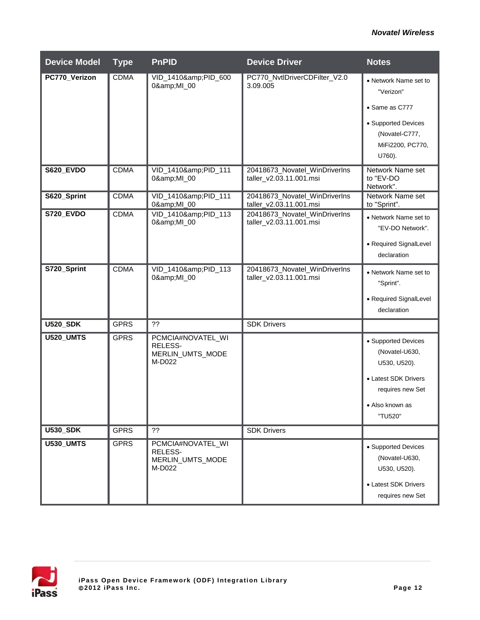| <b>Device Model</b> | <b>Type</b> | <b>PnPID</b>                                               | <b>Device Driver</b>                                     | <b>Notes</b>                                                                                                                    |
|---------------------|-------------|------------------------------------------------------------|----------------------------------------------------------|---------------------------------------------------------------------------------------------------------------------------------|
| PC770_Verizon       | <b>CDMA</b> | VID_1410&PID_600<br>0&MI_00                                | PC770_NvtlDriverCDFilter_V2.0<br>3.09.005                | • Network Name set to<br>"Verizon"<br>• Same as C777<br>• Supported Devices                                                     |
|                     |             |                                                            |                                                          | (Novatel-C777,<br>MiFi2200, PC770,<br>U760).                                                                                    |
| <b>S620_EVDO</b>    | <b>CDMA</b> | VID_1410&PID_111<br>0&MI_00                                | 20418673_Novatel_WinDriverIns<br>taller_v2.03.11.001.msi | Network Name set<br>to "EV-DO<br>Network".                                                                                      |
| S620_Sprint         | <b>CDMA</b> | VID_1410&PID_111<br>0& MI_00                               | 20418673_Novatel_WinDriverIns<br>taller_v2.03.11.001.msi | Network Name set<br>to "Sprint".                                                                                                |
| <b>S720_EVDO</b>    | <b>CDMA</b> | VID_1410&PID_113<br>0&MI_00                                | 20418673_Novatel_WinDriverIns<br>taller_v2.03.11.001.msi | • Network Name set to<br>"EV-DO Network".<br>• Required SignalLevel                                                             |
|                     |             |                                                            |                                                          | declaration                                                                                                                     |
| S720_Sprint         | <b>CDMA</b> | VID_1410&PID_113<br>0&MI_00                                | 20418673_Novatel_WinDriverIns<br>taller_v2.03.11.001.msi | • Network Name set to<br>"Sprint".<br>• Required SignalLevel                                                                    |
|                     |             |                                                            |                                                          | declaration                                                                                                                     |
| <b>U520_SDK</b>     | <b>GPRS</b> | 22                                                         | <b>SDK Drivers</b>                                       |                                                                                                                                 |
| <b>U520_UMTS</b>    | <b>GPRS</b> | PCMCIA#NOVATEL_WI<br>RELESS-<br>MERLIN_UMTS_MODE<br>M-D022 |                                                          | • Supported Devices<br>(Novatel-U630,<br>U530, U520).<br>• Latest SDK Drivers<br>requires new Set<br>• Also known as<br>"TU520" |
| <b>U530_SDK</b>     | <b>GPRS</b> | ??                                                         | <b>SDK Drivers</b>                                       |                                                                                                                                 |
| <b>U530_UMTS</b>    | <b>GPRS</b> | PCMCIA#NOVATEL_WI<br>RELESS-<br>MERLIN_UMTS_MODE<br>M-D022 |                                                          | • Supported Devices<br>(Novatel-U630,<br>U530, U520).<br>• Latest SDK Drivers<br>requires new Set                               |

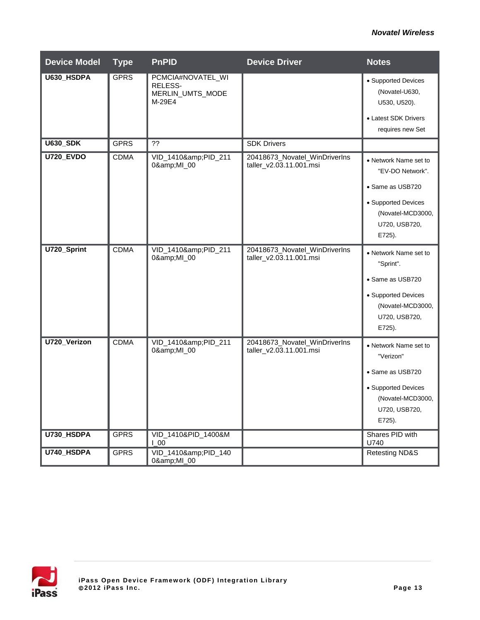| <b>Device Model</b> | <b>Type</b> | <b>PnPID</b>                                               | <b>Device Driver</b>                                     | <b>Notes</b>                                                                                                                         |
|---------------------|-------------|------------------------------------------------------------|----------------------------------------------------------|--------------------------------------------------------------------------------------------------------------------------------------|
| U630_HSDPA          | <b>GPRS</b> | PCMCIA#NOVATEL_WI<br>RELESS-<br>MERLIN_UMTS_MODE<br>M-29E4 |                                                          | • Supported Devices<br>(Novatel-U630,<br>U530, U520).<br>• Latest SDK Drivers<br>requires new Set                                    |
| <b>U630_SDK</b>     | <b>GPRS</b> | ??                                                         | <b>SDK Drivers</b>                                       |                                                                                                                                      |
| <b>U720_EVDO</b>    | <b>CDMA</b> | VID_1410&PID_211<br>0&MI_00                                | 20418673_Novatel_WinDriverIns<br>taller_v2.03.11.001.msi | • Network Name set to<br>"EV-DO Network".<br>• Same as USB720<br>• Supported Devices<br>(Novatel-MCD3000,<br>U720, USB720,<br>E725). |
| U720_Sprint         | <b>CDMA</b> | VID_1410&PID_211<br>0&MI_00                                | 20418673_Novatel_WinDriverIns<br>taller_v2.03.11.001.msi | • Network Name set to<br>"Sprint".<br>• Same as USB720<br>• Supported Devices<br>(Novatel-MCD3000,<br>U720, USB720,<br>E725).        |
| U720_Verizon        | <b>CDMA</b> | VID_1410&PID_211<br>0&MI_00                                | 20418673_Novatel_WinDriverIns<br>taller_v2.03.11.001.msi | • Network Name set to<br>"Verizon"<br>• Same as USB720<br>• Supported Devices<br>(Novatel-MCD3000,<br>U720, USB720,<br>E725).        |
| U730_HSDPA          | <b>GPRS</b> | VID_1410&PID_1400&M<br>$\overline{1}$ 00                   |                                                          | Shares PID with<br>U740                                                                                                              |
| U740_HSDPA          | <b>GPRS</b> | VID_1410&PID_140<br>0&MI_00                                |                                                          | <b>Retesting ND&amp;S</b>                                                                                                            |

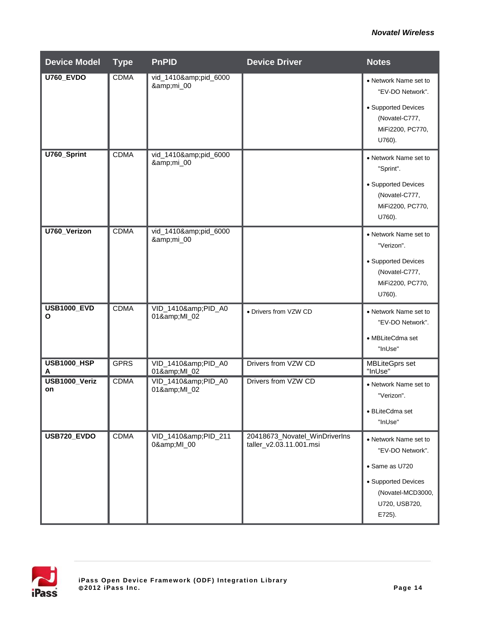| <b>Device Model</b>     | <b>Type</b> | <b>PnPID</b>                | <b>Device Driver</b>                                     | <b>Notes</b>                                                                                                                       |
|-------------------------|-------------|-----------------------------|----------------------------------------------------------|------------------------------------------------------------------------------------------------------------------------------------|
| <b>U760 EVDO</b>        | <b>CDMA</b> | vid_1410&pid_6000<br>&mi_00 |                                                          | • Network Name set to<br>"EV-DO Network".<br>• Supported Devices<br>(Novatel-C777,<br>MiFi2200, PC770,<br>U760).                   |
| U760_Sprint             | <b>CDMA</b> | vid_1410&pid_6000<br>&mi_00 |                                                          | • Network Name set to<br>"Sprint".<br>• Supported Devices<br>(Novatel-C777,<br>MiFi2200, PC770,<br>U760).                          |
| <b>U760 Verizon</b>     | <b>CDMA</b> | vid_1410&pid_6000<br>&mi_00 |                                                          | • Network Name set to<br>"Verizon".<br>• Supported Devices<br>(Novatel-C777,<br>MiFi2200, PC770,<br>U760).                         |
| <b>USB1000_EVD</b><br>O | <b>CDMA</b> | VID_1410&PID_A0<br>01&MI_02 | • Drivers from VZW CD                                    | • Network Name set to<br>"EV-DO Network".<br>• MBLiteCdma set<br>"InUse"                                                           |
| <b>USB1000_HSP</b><br>A | <b>GPRS</b> | VID_1410&PID_A0<br>01&MI_02 | Drivers from VZW CD                                      | <b>MBLiteGprs set</b><br>"InUse"                                                                                                   |
| USB1000_Veriz<br>on     | <b>CDMA</b> | VID_1410&PID_A0<br>01&MI_02 | Drivers from VZW CD                                      | • Network Name set to<br>"Verizon".<br>· BLiteCdma set<br>"InUse"                                                                  |
| USB720_EVDO             | <b>CDMA</b> | VID_1410&PID_211<br>0&MI_00 | 20418673_Novatel_WinDriverIns<br>taller_v2.03.11.001.msi | • Network Name set to<br>"EV-DO Network".<br>• Same as U720<br>• Supported Devices<br>(Novatel-MCD3000,<br>U720, USB720,<br>E725). |

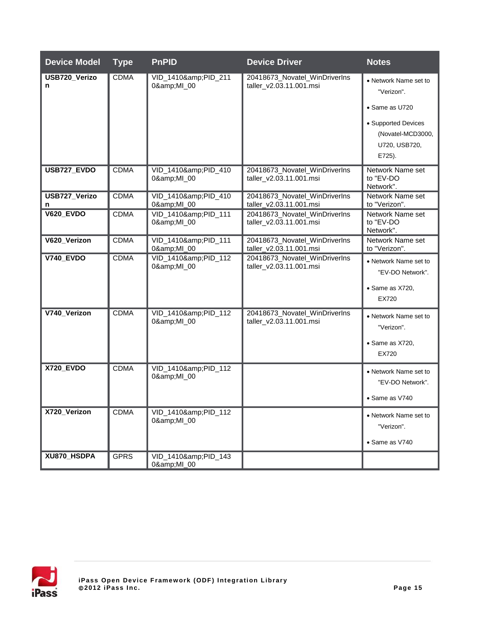| <b>Device Model</b> | <b>Type</b> | <b>PnPID</b>                | <b>Device Driver</b>                                     | <b>Notes</b>                                                                                                                 |
|---------------------|-------------|-----------------------------|----------------------------------------------------------|------------------------------------------------------------------------------------------------------------------------------|
| USB720_Verizo<br>n  | <b>CDMA</b> | VID_1410&PID_211<br>0&MI_00 | 20418673_Novatel_WinDriverIns<br>taller_v2.03.11.001.msi | • Network Name set to<br>"Verizon".<br>• Same as U720<br>• Supported Devices<br>(Novatel-MCD3000,<br>U720, USB720,<br>E725). |
| USB727_EVDO         | <b>CDMA</b> | VID_1410&PID_410<br>0&MI_00 | 20418673_Novatel_WinDriverIns<br>taller_v2.03.11.001.msi | Network Name set<br>to "EV-DO<br>Network".                                                                                   |
| USB727_Verizo<br>n  | <b>CDMA</b> | VID_1410&PID_410<br>0&MI_00 | 20418673_Novatel_WinDriverIns<br>taller_v2.03.11.001.msi | Network Name set<br>to "Verizon".                                                                                            |
| <b>V620_EVDO</b>    | <b>CDMA</b> | VID 1410&PID 111<br>0&MI_00 | 20418673_Novatel_WinDriverIns<br>taller_v2.03.11.001.msi | Network Name set<br>to "EV-DO<br>Network".                                                                                   |
| V620_Verizon        | <b>CDMA</b> | VID_1410&PID_111<br>0&MI_00 | 20418673_Novatel_WinDriverIns<br>taller_v2.03.11.001.msi | Network Name set<br>to "Verizon".                                                                                            |
| <b>V740_EVDO</b>    | <b>CDMA</b> | VID_1410&PID_112<br>0&MI_00 | 20418673_Novatel_WinDriverIns<br>taller_v2.03.11.001.msi | • Network Name set to<br>"EV-DO Network".<br>• Same as X720,<br>EX720                                                        |
| V740_Verizon        | <b>CDMA</b> | VID_1410&PID_112<br>0&MI_00 | 20418673_Novatel_WinDriverIns<br>taller_v2.03.11.001.msi | • Network Name set to<br>"Verizon".<br>• Same as X720,<br>EX720                                                              |
| <b>X720_EVDO</b>    | <b>CDMA</b> | VID_1410&PID_112<br>0&MI_00 |                                                          | • Network Name set to<br>"EV-DO Network".<br>• Same as V740                                                                  |
| X720_Verizon        | <b>CDMA</b> | VID_1410&PID_112<br>0&MI_00 |                                                          | • Network Name set to<br>"Verizon".<br>• Same as V740                                                                        |
| XU870_HSDPA         | <b>GPRS</b> | VID_1410&PID_143<br>0&MI_00 |                                                          |                                                                                                                              |

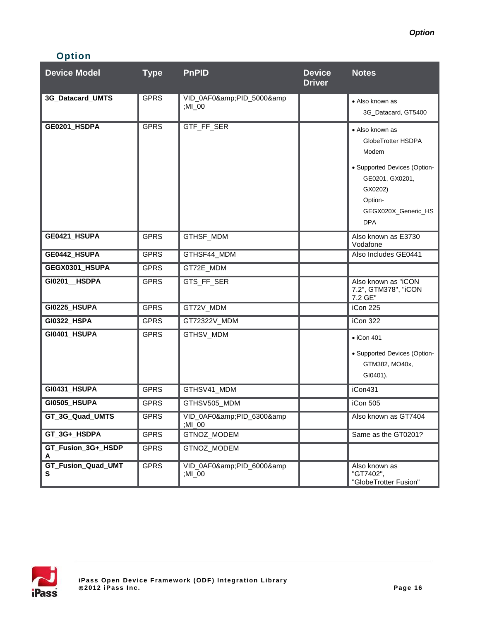## **Option**

| <b>Device Model</b>            | <b>Type</b> | <b>PnPID</b>                 | <b>Device</b><br><b>Driver</b> | <b>Notes</b>                                                                                                                                                 |
|--------------------------------|-------------|------------------------------|--------------------------------|--------------------------------------------------------------------------------------------------------------------------------------------------------------|
| 3G_Datacard_UMTS               | <b>GPRS</b> | VID_0AF0&PID_5000&<br>;MI_00 |                                | • Also known as<br>3G Datacard, GT5400                                                                                                                       |
| GE0201_HSDPA                   | <b>GPRS</b> | GTF_FF_SER                   |                                | • Also known as<br>GlobeTrotter HSDPA<br>Modem<br>• Supported Devices (Option-<br>GE0201, GX0201,<br>GX0202)<br>Option-<br>GEGX020X_Generic_HS<br><b>DPA</b> |
| GE0421_HSUPA                   | <b>GPRS</b> | GTHSF_MDM                    |                                | Also known as E3730<br>Vodafone                                                                                                                              |
| GE0442_HSUPA                   | <b>GPRS</b> | GTHSF44_MDM                  |                                | Also Includes GE0441                                                                                                                                         |
| GEGX0301_HSUPA                 | <b>GPRS</b> | GT72E_MDM                    |                                |                                                                                                                                                              |
| GI0201 HSDPA                   | <b>GPRS</b> | GTS_FF_SER                   |                                | Also known as "iCON<br>7.2", GTM378", "iCON<br>7.2 GE"                                                                                                       |
| <b>GI0225_HSUPA</b>            | <b>GPRS</b> | GT72V_MDM                    |                                | iCon 225                                                                                                                                                     |
| GI0322_HSPA                    | <b>GPRS</b> | GT72322V_MDM                 |                                | iCon 322                                                                                                                                                     |
| GI0401_HSUPA                   | <b>GPRS</b> | GTHSV_MDM                    |                                | $\bullet$ iCon 401<br>• Supported Devices (Option-<br>GTM382, MO40x,<br>GI0401).                                                                             |
| GI0431_HSUPA                   | <b>GPRS</b> | GTHSV41_MDM                  |                                | iCon431                                                                                                                                                      |
| GI0505_HSUPA                   | <b>GPRS</b> | GTHSV505_MDM                 |                                | iCon 505                                                                                                                                                     |
| GT_3G_Quad_UMTS                | GPRS        | VID_0AF0&PID_6300&<br>;MI_00 |                                | Also known as GT7404                                                                                                                                         |
| GT_3G+_HSDPA                   | <b>GPRS</b> | GTNOZ_MODEM                  |                                | Same as the GT0201?                                                                                                                                          |
| GT_Fusion_3G+_HSDP<br>A        | <b>GPRS</b> | GTNOZ_MODEM                  |                                |                                                                                                                                                              |
| <b>GT_Fusion_Quad_UMT</b><br>S | <b>GPRS</b> | VID_0AF0&PID_6000&<br>;MI_00 |                                | Also known as<br>"GT7402",<br>"GlobeTrotter Fusion"                                                                                                          |

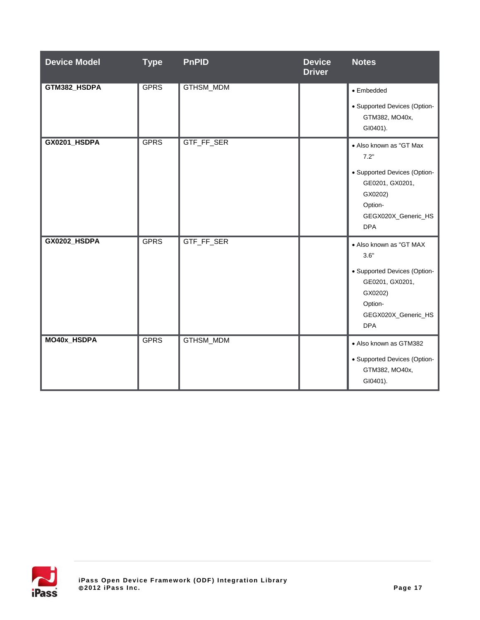| <b>Device Model</b> | <b>Type</b> | <b>PnPID</b> | <b>Device</b><br><b>Driver</b> | <b>Notes</b>                                                                                                                                  |
|---------------------|-------------|--------------|--------------------------------|-----------------------------------------------------------------------------------------------------------------------------------------------|
| GTM382_HSDPA        | <b>GPRS</b> | GTHSM_MDM    |                                | • Embedded<br>• Supported Devices (Option-<br>GTM382, MO40x,<br>GI0401).                                                                      |
| GX0201_HSDPA        | <b>GPRS</b> | GTF_FF_SER   |                                | • Also known as "GT Max<br>7.2"<br>• Supported Devices (Option-<br>GE0201, GX0201,<br>GX0202)<br>Option-<br>GEGX020X_Generic_HS<br><b>DPA</b> |
| GX0202_HSDPA        | <b>GPRS</b> | GTF_FF_SER   |                                | • Also known as "GT MAX<br>3.6"<br>• Supported Devices (Option-<br>GE0201, GX0201,<br>GX0202)<br>Option-<br>GEGX020X_Generic_HS<br><b>DPA</b> |
| MO40x_HSDPA         | <b>GPRS</b> | GTHSM_MDM    |                                | • Also known as GTM382<br>• Supported Devices (Option-<br>GTM382, MO40x,<br>GI0401).                                                          |

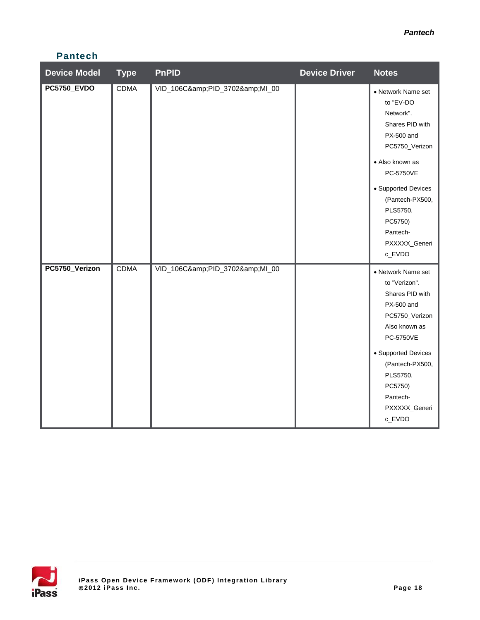## **Pantech**

| <b>Device Model</b> | <b>Type</b> | <b>PnPID</b>            | <b>Device Driver</b> | <b>Notes</b>                                                                                                                                                                                                                            |
|---------------------|-------------|-------------------------|----------------------|-----------------------------------------------------------------------------------------------------------------------------------------------------------------------------------------------------------------------------------------|
| <b>PC5750_EVDO</b>  | <b>CDMA</b> | VID_106C&PID_3702&MI_00 |                      | • Network Name set<br>to "EV-DO<br>Network".<br>Shares PID with<br>PX-500 and<br>PC5750_Verizon<br>• Also known as<br>PC-5750VE<br>• Supported Devices<br>(Pantech-PX500,<br>PLS5750,<br>PC5750)<br>Pantech-<br>PXXXXX_Generi<br>c_EVDO |
| PC5750_Verizon      | <b>CDMA</b> | VID_106C&PID_3702&MI_00 |                      | • Network Name set<br>to "Verizon".<br>Shares PID with<br>PX-500 and<br>PC5750_Verizon<br>Also known as<br>PC-5750VE<br>• Supported Devices<br>(Pantech-PX500,<br>PLS5750,<br>PC5750)<br>Pantech-<br>PXXXXX_Generi<br>c_EVDO            |

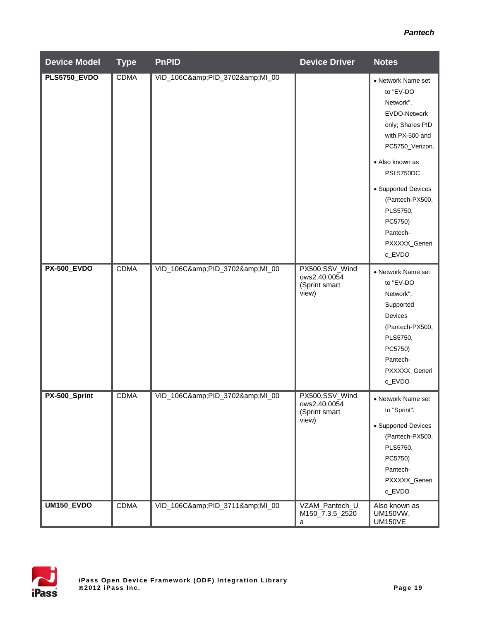#### *Pantech*

| <b>Device Model</b> | <b>Type</b> | <b>PnPID</b>            | <b>Device Driver</b>                                     | <b>Notes</b>                                                                                                                                                                                                                                                          |
|---------------------|-------------|-------------------------|----------------------------------------------------------|-----------------------------------------------------------------------------------------------------------------------------------------------------------------------------------------------------------------------------------------------------------------------|
| <b>PLS5750_EVDO</b> | <b>CDMA</b> | VID_106C&PID_3702&MI_00 |                                                          | • Network Name set<br>to "EV-DO<br>Network".<br>EVDO-Network<br>only; Shares PID<br>with PX-500 and<br>PC5750_Verizon.<br>• Also known as<br><b>PSL5750DC</b><br>• Supported Devices<br>(Pantech-PX500,<br>PLS5750,<br>PC5750)<br>Pantech-<br>PXXXXX_Generi<br>c_EVDO |
| <b>PX-500_EVDO</b>  | <b>CDMA</b> | VID_106C&PID_3702&MI_00 | PX500.SSV_Wind<br>ows2.40.0054<br>(Sprint smart<br>view) | • Network Name set<br>to "EV-DO<br>Network".<br>Supported<br>Devices<br>(Pantech-PX500,<br>PLS5750,<br>PC5750)<br>Pantech-<br>PXXXXX_Generi<br>c_EVDO                                                                                                                 |
| PX-500_Sprint       | <b>CDMA</b> | VID_106C&PID_3702&MI_00 | PX500.SSV_Wind<br>ows2.40.0054<br>(Sprint smart<br>view) | • Network Name set<br>to "Sprint".<br>• Supported Devices<br>(Pantech-PX500,<br>PLS5750,<br>PC5750)<br>Pantech-<br>PXXXXX_Generi<br>c_EVDO                                                                                                                            |
| UM150_EVDO          | <b>CDMA</b> | VID_106C&PID_3711&MI_00 | VZAM_Pantech_U<br>M150_7.3.5_2520<br>a                   | Also known as<br>UM150VW,<br><b>UM150VE</b>                                                                                                                                                                                                                           |

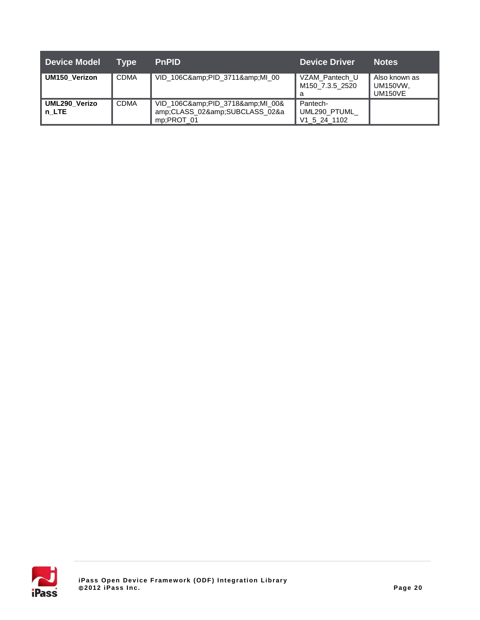| <b>Device Model</b>    | Tvpe        | <b>PnPID</b>                                                         | <b>Device Driver</b>                     | <b>Notes</b>                                       |
|------------------------|-------------|----------------------------------------------------------------------|------------------------------------------|----------------------------------------------------|
| <b>UM150 Verizon</b>   | <b>CDMA</b> | VID_106C&PID_3711&MI_00                                              | VZAM Pantech U<br>M150 7.3.5 2520<br>a   | Also known as<br><b>UM150VW,</b><br><b>UM150VE</b> |
| UML290 Verizo<br>n LTE | <b>CDMA</b> | VID_106C&PID_3718&MI_00&<br>amp;CLASS_02&SUBCLASS_02&a<br>mp;PROT_01 | Pantech-<br>UML290_PTUML<br>V1 5 24 1102 |                                                    |

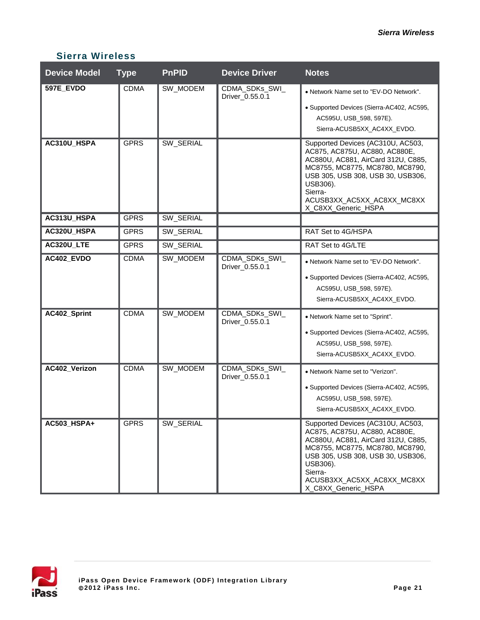| <b>Device Model</b> | <b>Type</b> | <b>PnPID</b> | <b>Device Driver</b>              | <b>Notes</b>                                                                                                                                                                                                                                                 |
|---------------------|-------------|--------------|-----------------------------------|--------------------------------------------------------------------------------------------------------------------------------------------------------------------------------------------------------------------------------------------------------------|
| 597E_EVDO           | <b>CDMA</b> | SW_MODEM     | CDMA_SDKs_SWI_<br>Driver_0.55.0.1 | • Network Name set to "EV-DO Network".<br>· Supported Devices (Sierra-AC402, AC595,<br>AC595U, USB_598, 597E).<br>Sierra-ACUSB5XX_AC4XX_EVDO.                                                                                                                |
| AC310U_HSPA         | <b>GPRS</b> | SW_SERIAL    |                                   | Supported Devices (AC310U, AC503,<br>AC875, AC875U, AC880, AC880E,<br>AC880U, AC881, AirCard 312U, C885,<br>MC8755, MC8775, MC8780, MC8790,<br>USB 305, USB 308, USB 30, USB306,<br>USB306).<br>Sierra-<br>ACUSB3XX_AC5XX_AC8XX_MC8XX<br>X_C8XX_Generic_HSPA |
| AC313U_HSPA         | <b>GPRS</b> | SW_SERIAL    |                                   |                                                                                                                                                                                                                                                              |
| AC320U_HSPA         | <b>GPRS</b> | SW_SERIAL    |                                   | RAT Set to 4G/HSPA                                                                                                                                                                                                                                           |
| AC320U_LTE          | <b>GPRS</b> | SW_SERIAL    |                                   | RAT Set to 4G/LTE                                                                                                                                                                                                                                            |
| AC402_EVDO          | <b>CDMA</b> | SW_MODEM     | CDMA_SDKs_SWI_<br>Driver_0.55.0.1 | • Network Name set to "EV-DO Network".<br>· Supported Devices (Sierra-AC402, AC595,<br>AC595U, USB_598, 597E).<br>Sierra-ACUSB5XX_AC4XX_EVDO.                                                                                                                |
| AC402_Sprint        | <b>CDMA</b> | SW_MODEM     | CDMA_SDKs_SWI_<br>Driver_0.55.0.1 | • Network Name set to "Sprint".<br>• Supported Devices (Sierra-AC402, AC595,<br>AC595U, USB_598, 597E).<br>Sierra-ACUSB5XX_AC4XX_EVDO.                                                                                                                       |
| AC402_Verizon       | <b>CDMA</b> | SW_MODEM     | CDMA_SDKs_SWI_<br>Driver_0.55.0.1 | • Network Name set to "Verizon".<br>• Supported Devices (Sierra-AC402, AC595,<br>AC595U, USB_598, 597E).<br>Sierra-ACUSB5XX AC4XX EVDO.                                                                                                                      |
| AC503_HSPA+         | <b>GPRS</b> | SW_SERIAL    |                                   | Supported Devices (AC310U, AC503,<br>AC875, AC875U, AC880, AC880E,<br>AC880U, AC881, AirCard 312U, C885,<br>MC8755, MC8775, MC8780, MC8790,<br>USB 305, USB 308, USB 30, USB306,<br>USB306).<br>Sierra-<br>ACUSB3XX_AC5XX_AC8XX_MC8XX<br>X_C8XX_Generic_HSPA |

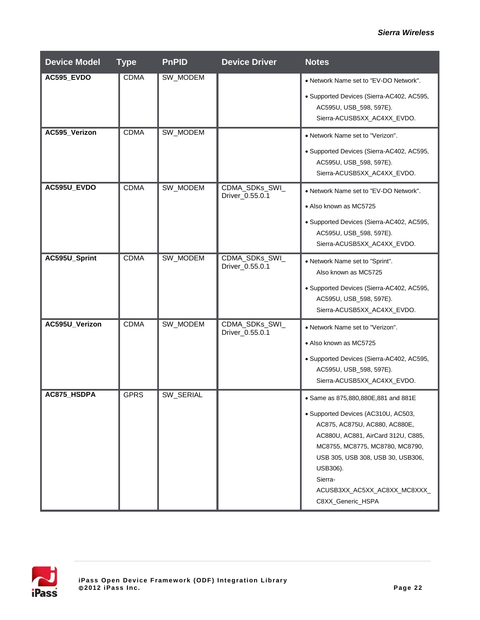| <b>Device Model</b> | <b>Type</b> | <b>PnPID</b> | <b>Device Driver</b>              | <b>Notes</b>                                                                                                                                                                                                                                                                                          |
|---------------------|-------------|--------------|-----------------------------------|-------------------------------------------------------------------------------------------------------------------------------------------------------------------------------------------------------------------------------------------------------------------------------------------------------|
| AC595_EVDO          | <b>CDMA</b> | SW_MODEM     |                                   | • Network Name set to "EV-DO Network".<br>· Supported Devices (Sierra-AC402, AC595,<br>AC595U, USB_598, 597E).<br>Sierra-ACUSB5XX_AC4XX_EVDO.                                                                                                                                                         |
| AC595_Verizon       | <b>CDMA</b> | SW_MODEM     |                                   | • Network Name set to "Verizon".<br>• Supported Devices (Sierra-AC402, AC595,<br>AC595U, USB_598, 597E).<br>Sierra-ACUSB5XX_AC4XX_EVDO.                                                                                                                                                               |
| AC595U_EVDO         | <b>CDMA</b> | SW_MODEM     | CDMA_SDKs_SWI_<br>Driver_0.55.0.1 | • Network Name set to "EV-DO Network".<br>• Also known as MC5725<br>• Supported Devices (Sierra-AC402, AC595,<br>AC595U, USB_598, 597E).<br>Sierra-ACUSB5XX_AC4XX_EVDO.                                                                                                                               |
| AC595U_Sprint       | <b>CDMA</b> | SW_MODEM     | CDMA_SDKs_SWI_<br>Driver_0.55.0.1 | • Network Name set to "Sprint".<br>Also known as MC5725<br>• Supported Devices (Sierra-AC402, AC595,<br>AC595U, USB_598, 597E).<br>Sierra-ACUSB5XX_AC4XX_EVDO.                                                                                                                                        |
| AC595U_Verizon      | <b>CDMA</b> | SW_MODEM     | CDMA_SDKs_SWI_<br>Driver_0.55.0.1 | • Network Name set to "Verizon".<br>• Also known as MC5725<br>• Supported Devices (Sierra-AC402, AC595,<br>AC595U, USB_598, 597E).<br>Sierra-ACUSB5XX_AC4XX_EVDO.                                                                                                                                     |
| AC875_HSDPA         | <b>GPRS</b> | SW_SERIAL    |                                   | • Same as 875,880,880E,881 and 881E<br>• Supported Devices (AC310U, AC503,<br>AC875, AC875U, AC880, AC880E,<br>AC880U, AC881, AirCard 312U, C885,<br>MC8755, MC8775, MC8780, MC8790,<br>USB 305, USB 308, USB 30, USB306,<br>USB306).<br>Sierra-<br>ACUSB3XX_AC5XX_AC8XX_MC8XXX_<br>C8XX_Generic_HSPA |

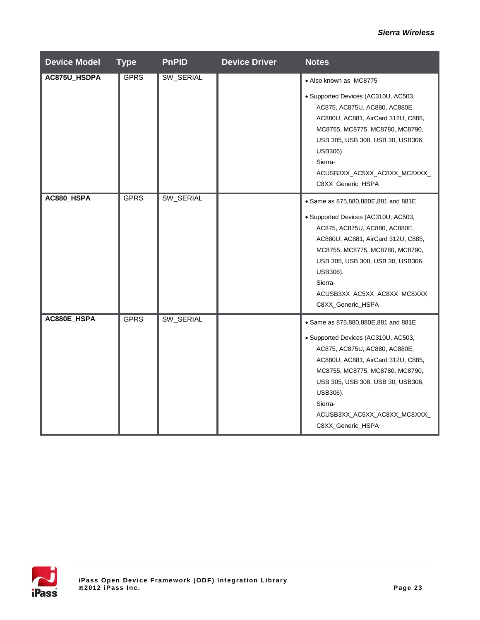| <b>Device Model</b> | <b>Type</b> | <b>PnPID</b> | <b>Device Driver</b> | <b>Notes</b>                                                                                                                                                                                                                                                                                          |
|---------------------|-------------|--------------|----------------------|-------------------------------------------------------------------------------------------------------------------------------------------------------------------------------------------------------------------------------------------------------------------------------------------------------|
| AC875U_HSDPA        | <b>GPRS</b> | SW_SERIAL    |                      | • Also known as MC8775<br>· Supported Devices (AC310U, AC503,<br>AC875, AC875U, AC880, AC880E,<br>AC880U, AC881, AirCard 312U, C885,<br>MC8755, MC8775, MC8780, MC8790,<br>USB 305, USB 308, USB 30, USB306,<br>USB306).<br>Sierra-<br>ACUSB3XX_AC5XX_AC8XX_MC8XXX_<br>C8XX_Generic_HSPA              |
| AC880_HSPA          | <b>GPRS</b> | SW_SERIAL    |                      | • Same as 875,880,880E,881 and 881E<br>· Supported Devices (AC310U, AC503,<br>AC875, AC875U, AC880, AC880E,<br>AC880U, AC881, AirCard 312U, C885,<br>MC8755, MC8775, MC8780, MC8790,<br>USB 305, USB 308, USB 30, USB306,<br>USB306).<br>Sierra-<br>ACUSB3XX_AC5XX_AC8XX_MC8XXX_<br>C8XX_Generic_HSPA |
| AC880E_HSPA         | <b>GPRS</b> | SW_SERIAL    |                      | · Same as 875,880,880E,881 and 881E<br>· Supported Devices (AC310U, AC503,<br>AC875, AC875U, AC880, AC880E,<br>AC880U, AC881, AirCard 312U, C885,<br>MC8755, MC8775, MC8780, MC8790,<br>USB 305, USB 308, USB 30, USB306,<br>USB306).<br>Sierra-<br>ACUSB3XX_AC5XX_AC8XX_MC8XXX_<br>C8XX_Generic_HSPA |

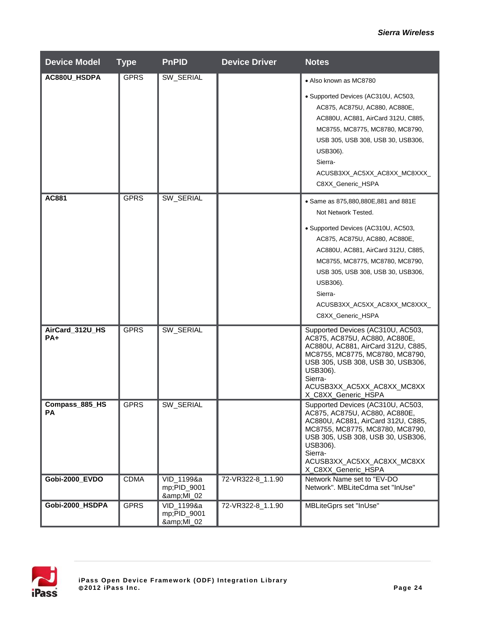| <b>Device Model</b>      | <b>Type</b> | <b>PnPID</b>                        | <b>Device Driver</b> | <b>Notes</b>                                                                                                                                                                                                                                                   |
|--------------------------|-------------|-------------------------------------|----------------------|----------------------------------------------------------------------------------------------------------------------------------------------------------------------------------------------------------------------------------------------------------------|
| AC880U_HSDPA             | <b>GPRS</b> | SW_SERIAL                           |                      | • Also known as MC8780                                                                                                                                                                                                                                         |
|                          |             |                                     |                      | · Supported Devices (AC310U, AC503,<br>AC875, AC875U, AC880, AC880E,<br>AC880U, AC881, AirCard 312U, C885,<br>MC8755, MC8775, MC8780, MC8790,<br>USB 305, USB 308, USB 30, USB306,<br>USB306).<br>Sierra-<br>ACUSB3XX_AC5XX_AC8XX_MC8XXX_<br>C8XX_Generic_HSPA |
| AC881                    | <b>GPRS</b> | SW_SERIAL                           |                      | • Same as 875,880,880E,881 and 881E<br>Not Network Tested.                                                                                                                                                                                                     |
|                          |             |                                     |                      | • Supported Devices (AC310U, AC503,<br>AC875, AC875U, AC880, AC880E,<br>AC880U, AC881, AirCard 312U, C885,<br>MC8755, MC8775, MC8780, MC8790,<br>USB 305, USB 308, USB 30, USB306,<br>USB306).<br>Sierra-<br>ACUSB3XX_AC5XX_AC8XX_MC8XXX_<br>C8XX_Generic_HSPA |
| AirCard_312U_HS<br>$PA+$ | <b>GPRS</b> | SW_SERIAL                           |                      | Supported Devices (AC310U, AC503,<br>AC875, AC875U, AC880, AC880E,<br>AC880U, AC881, AirCard 312U, C885,<br>MC8755, MC8775, MC8780, MC8790,<br>USB 305, USB 308, USB 30, USB306,<br>USB306).<br>Sierra-<br>ACUSB3XX_AC5XX_AC8XX_MC8XX<br>X_C8XX_Generic_HSPA   |
| Compass_885_HS<br>PA     | <b>GPRS</b> | SW_SERIAL                           |                      | Supported Devices (AC310U, AC503,<br>AC875, AC875U, AC880, AC880E,<br>AC880U, AC881, AirCard 312U, C885,<br>MC8755, MC8775, MC8780, MC8790,<br>USB 305, USB 308, USB 30, USB306,<br>USB306).<br>Sierra-<br>ACUSB3XX_AC5XX_AC8XX_MC8XX<br>X_C8XX_Generic_HSPA   |
| Gobi-2000_EVDO           | <b>CDMA</b> | VID_1199&a<br>mp;PID_9001<br>&MI_02 | 72-VR322-8_1.1.90    | Network Name set to "EV-DO<br>Network". MBLiteCdma set "InUse"                                                                                                                                                                                                 |
| Gobi-2000_HSDPA          | <b>GPRS</b> | VID_1199&a<br>mp;PID_9001<br>&MI_02 | 72-VR322-8_1.1.90    | MBLiteGprs set "InUse"                                                                                                                                                                                                                                         |

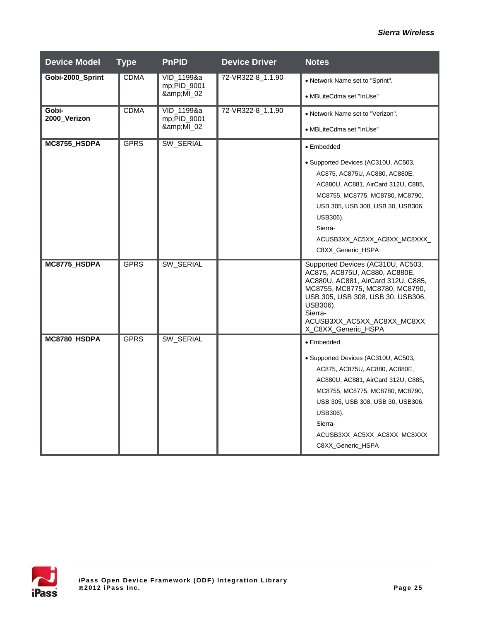| <b>Device Model</b>   | <b>Type</b> | <b>PnPID</b>                        | <b>Device Driver</b> | <b>Notes</b>                                                                                                                                                                                                                                                                  |
|-----------------------|-------------|-------------------------------------|----------------------|-------------------------------------------------------------------------------------------------------------------------------------------------------------------------------------------------------------------------------------------------------------------------------|
| Gobi-2000_Sprint      | <b>CDMA</b> | VID 1199&a<br>mp;PID_9001<br>&MI_02 | 72-VR322-8_1.1.90    | • Network Name set to "Sprint".<br>• MBLiteCdma set "InUse"                                                                                                                                                                                                                   |
| Gobi-<br>2000_Verizon | <b>CDMA</b> | VID_1199&a<br>mp;PID_9001<br>&MI_02 | 72-VR322-8_1.1.90    | • Network Name set to "Verizon".<br>• MBLiteCdma set "InUse"                                                                                                                                                                                                                  |
| MC8755_HSDPA          | <b>GPRS</b> | SW SERIAL                           |                      | • Embedded<br>• Supported Devices (AC310U, AC503,<br>AC875, AC875U, AC880, AC880E,<br>AC880U, AC881, AirCard 312U, C885,<br>MC8755, MC8775, MC8780, MC8790,<br>USB 305, USB 308, USB 30, USB 306,<br>USB306).<br>Sierra-<br>ACUSB3XX_AC5XX_AC8XX_MC8XXX_<br>C8XX_Generic_HSPA |
| MC8775_HSDPA          | <b>GPRS</b> | SW_SERIAL                           |                      | Supported Devices (AC310U, AC503,<br>AC875, AC875U, AC880, AC880E,<br>AC880U, AC881, AirCard 312U, C885,<br>MC8755, MC8775, MC8780, MC8790,<br>USB 305, USB 308, USB 30, USB306,<br>USB306).<br>Sierra-<br>ACUSB3XX_AC5XX_AC8XX_MC8XX<br>X_C8XX_Generic_HSPA                  |
| MC8780 HSDPA          | <b>GPRS</b> | SW_SERIAL                           |                      | • Embedded<br>• Supported Devices (AC310U, AC503,<br>AC875, AC875U, AC880, AC880E,<br>AC880U, AC881, AirCard 312U, C885,<br>MC8755, MC8775, MC8780, MC8790,<br>USB 305, USB 308, USB 30, USB 306,<br>USB306).<br>Sierra-<br>ACUSB3XX_AC5XX_AC8XX_MC8XXX_<br>C8XX_Generic_HSPA |

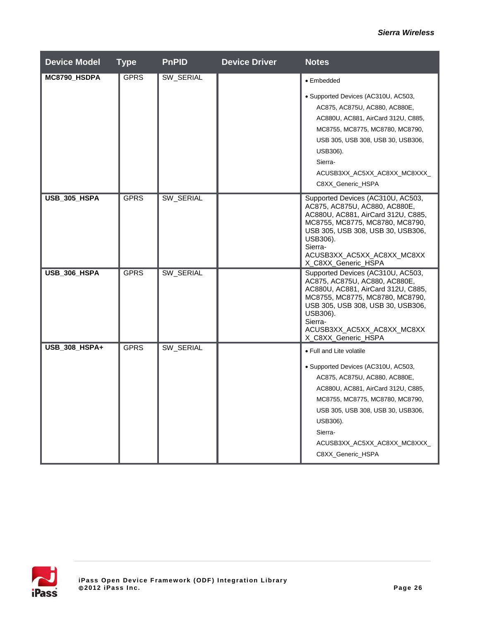| <b>Device Model</b> | <b>Type</b> | <b>PnPID</b> | <b>Device Driver</b> | <b>Notes</b>                                                                                                                                                                                                                                                                               |
|---------------------|-------------|--------------|----------------------|--------------------------------------------------------------------------------------------------------------------------------------------------------------------------------------------------------------------------------------------------------------------------------------------|
| MC8790_HSDPA        | <b>GPRS</b> | SW_SERIAL    |                      | • Embedded                                                                                                                                                                                                                                                                                 |
|                     |             |              |                      | • Supported Devices (AC310U, AC503,<br>AC875, AC875U, AC880, AC880E,<br>AC880U, AC881, AirCard 312U, C885,<br>MC8755, MC8775, MC8780, MC8790,<br>USB 305, USB 308, USB 30, USB 306,<br>USB306).<br>Sierra-<br>ACUSB3XX_AC5XX_AC8XX_MC8XXX_<br>C8XX_Generic_HSPA                            |
| USB_305_HSPA        | <b>GPRS</b> | SW_SERIAL    |                      | Supported Devices (AC310U, AC503,<br>AC875, AC875U, AC880, AC880E,<br>AC880U, AC881, AirCard 312U, C885,<br>MC8755, MC8775, MC8780, MC8790,<br>USB 305, USB 308, USB 30, USB306,<br>USB306).<br>Sierra-<br>ACUSB3XX_AC5XX_AC8XX_MC8XX<br>X_C8XX_Generic_HSPA                               |
| USB_306_HSPA        | <b>GPRS</b> | SW_SERIAL    |                      | Supported Devices (AC310U, AC503,<br>AC875, AC875U, AC880, AC880E,<br>AC880U, AC881, AirCard 312U, C885,<br>MC8755, MC8775, MC8780, MC8790,<br>USB 305, USB 308, USB 30, USB306,<br>USB306).<br>Sierra-<br>ACUSB3XX_AC5XX_AC8XX_MC8XX<br>X_C8XX_Generic_HSPA                               |
| USB_308_HSPA+       | <b>GPRS</b> | SW_SERIAL    |                      | • Full and Lite volatile<br>• Supported Devices (AC310U, AC503,<br>AC875, AC875U, AC880, AC880E,<br>AC880U, AC881, AirCard 312U, C885,<br>MC8755, MC8775, MC8780, MC8790,<br>USB 305, USB 308, USB 30, USB306,<br>USB306).<br>Sierra-<br>ACUSB3XX_AC5XX_AC8XX_MC8XXX_<br>C8XX_Generic_HSPA |

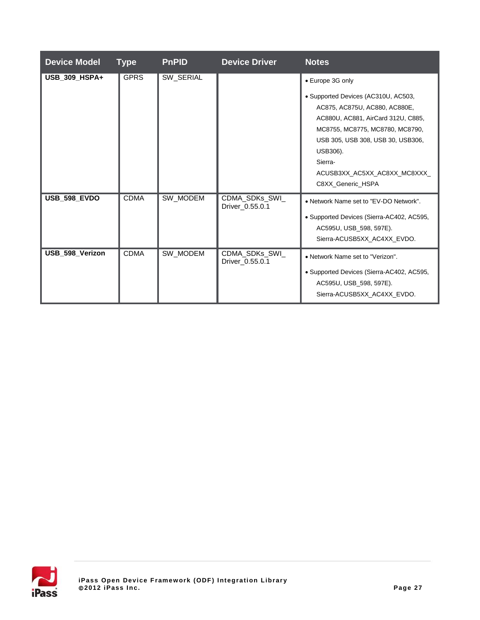| <b>Device Model</b> | <b>Type</b> | <b>PnPID</b> | <b>Device Driver</b>              | <b>Notes</b>                                                                                                                                                                                                                                                                       |
|---------------------|-------------|--------------|-----------------------------------|------------------------------------------------------------------------------------------------------------------------------------------------------------------------------------------------------------------------------------------------------------------------------------|
| USB_309_HSPA+       | <b>GPRS</b> | SW_SERIAL    |                                   | • Europe 3G only<br>• Supported Devices (AC310U, AC503,<br>AC875, AC875U, AC880, AC880E,<br>AC880U, AC881, AirCard 312U, C885,<br>MC8755, MC8775, MC8780, MC8790,<br>USB 305, USB 308, USB 30, USB 306,<br>USB306).<br>Sierra-<br>ACUSB3XX AC5XX AC8XX MC8XXX<br>C8XX_Generic_HSPA |
| <b>USB_598_EVDO</b> | <b>CDMA</b> | SW MODEM     | CDMA_SDKs_SWI_<br>Driver 0.55.0.1 | • Network Name set to "EV-DO Network".<br>• Supported Devices (Sierra-AC402, AC595,<br>AC595U, USB_598, 597E).<br>Sierra-ACUSB5XX AC4XX EVDO.                                                                                                                                      |
| USB 598 Verizon     | <b>CDMA</b> | SW_MODEM     | CDMA_SDKs_SWI_<br>Driver_0.55.0.1 | • Network Name set to "Verizon".<br>• Supported Devices (Sierra-AC402, AC595,<br>AC595U, USB_598, 597E).<br>Sierra-ACUSB5XX AC4XX EVDO.                                                                                                                                            |

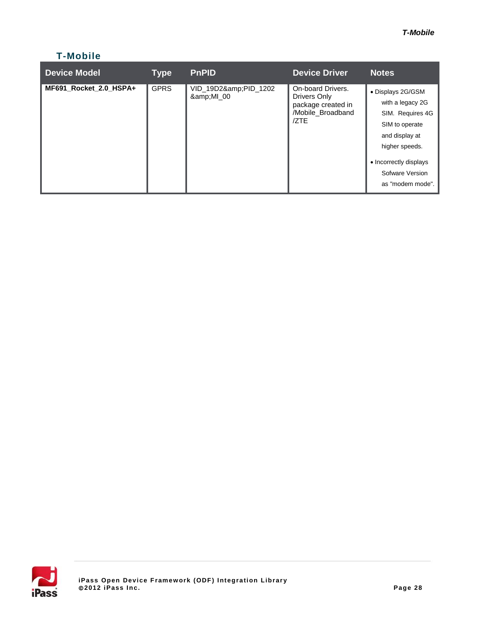## **T-Mobile**

| <b>Device Model</b>    | <b>Type</b> | <b>PnPID</b>                | <b>Device Driver</b>                                                                 | <b>Notes</b>                                                                                                                                                                     |
|------------------------|-------------|-----------------------------|--------------------------------------------------------------------------------------|----------------------------------------------------------------------------------------------------------------------------------------------------------------------------------|
| MF691 Rocket 2.0 HSPA+ | <b>GPRS</b> | VID_19D2&PID_1202<br>&MI_00 | On-board Drivers.<br>Drivers Only<br>package created in<br>/Mobile_Broadband<br>/ZTE | • Displays 2G/GSM<br>with a legacy 2G<br>SIM. Requires 4G<br>SIM to operate<br>and display at<br>higher speeds.<br>• Incorrectly displays<br>Sofware Version<br>as "modem mode". |

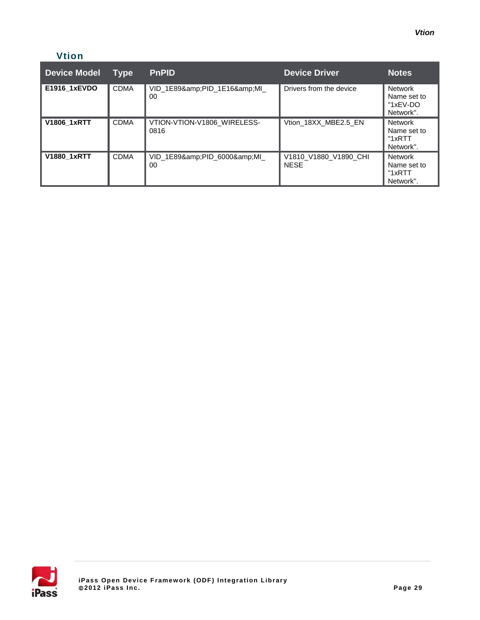### **Vtion**

| Vtion               |             |                                     |                                      |                                                        |
|---------------------|-------------|-------------------------------------|--------------------------------------|--------------------------------------------------------|
| <b>Device Model</b> | <b>Type</b> | <b>PnPID</b>                        | <b>Device Driver</b>                 | Notes                                                  |
| E1916 1xEVDO        | <b>CDMA</b> | VID_1E89&PID_1E16&MI_<br>00         | Drivers from the device              | <b>Network</b><br>Name set to<br>"1xEV-DO<br>Network". |
| <b>V1806 1xRTT</b>  | <b>CDMA</b> | VTION-VTION-V1806 WIRELESS-<br>0816 | Vtion 18XX MBE2.5 EN                 | Network<br>Name set to<br>"1xRTT<br>Network".          |
| <b>V1880 1xRTT</b>  | <b>CDMA</b> | VID 1E89&PID 6000&MI<br>00          | V1810_V1880_V1890_CHI<br><b>NESE</b> | <b>Network</b><br>Name set to<br>"1xRTT<br>Network".   |

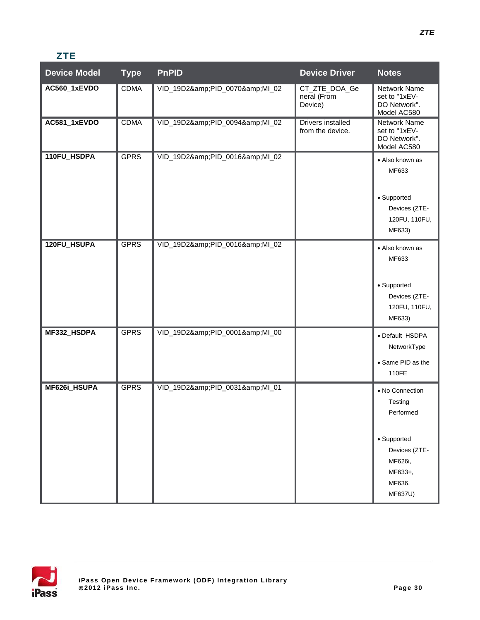## **ZTE**

| <b>Device Model</b> | <b>Type</b> | <b>PnPID</b>            | <b>Device Driver</b>                    | <b>Notes</b>                                                                                                       |
|---------------------|-------------|-------------------------|-----------------------------------------|--------------------------------------------------------------------------------------------------------------------|
| AC560_1xEVDO        | <b>CDMA</b> | VID_19D2&PID_0070&MI_02 | CT_ZTE_DOA_Ge<br>neral (From<br>Device) | <b>Network Name</b><br>set to "1xEV-<br>DO Network".<br>Model AC580                                                |
| AC581_1xEVDO        | <b>CDMA</b> | VID_19D2&PID_0094&MI_02 | Drivers installed<br>from the device.   | Network Name<br>set to "1xEV-<br>DO Network".<br>Model AC580                                                       |
| 110FU_HSDPA         | <b>GPRS</b> | VID_19D2&PID_0016&MI_02 |                                         | • Also known as<br>MF633<br>• Supported<br>Devices (ZTE-<br>120FU, 110FU,<br>MF633)                                |
| 120FU_HSUPA         | <b>GPRS</b> | VID_19D2&PID_0016&MI_02 |                                         | • Also known as<br>MF633<br>• Supported<br>Devices (ZTE-<br>120FU, 110FU,<br>MF633)                                |
| MF332_HSDPA         | <b>GPRS</b> | VID_19D2&PID_0001&MI_00 |                                         | • Default HSDPA<br>NetworkType<br>• Same PID as the<br>110FE                                                       |
| MF626i_HSUPA        | <b>GPRS</b> | VID_19D2&PID_0031&MI_01 |                                         | • No Connection<br>Testing<br>Performed<br>• Supported<br>Devices (ZTE-<br>MF626i,<br>MF633+,<br>MF636,<br>MF637U) |

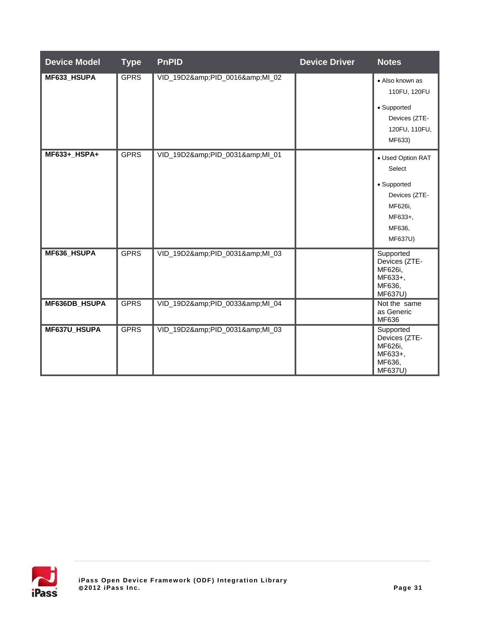| <b>Device Model</b> | <b>Type</b> | <b>PnPID</b>            | <b>Device Driver</b> | <b>Notes</b>                                                                                                  |
|---------------------|-------------|-------------------------|----------------------|---------------------------------------------------------------------------------------------------------------|
| MF633_HSUPA         | <b>GPRS</b> | VID_19D2&PID_0016&MI_02 |                      | • Also known as<br>110FU, 120FU<br>• Supported<br>Devices (ZTE-<br>120FU, 110FU,<br>MF633)                    |
| MF633+_HSPA+        | <b>GPRS</b> | VID_19D2&PID_0031&MI_01 |                      | • Used Option RAT<br>Select<br>• Supported<br>Devices (ZTE-<br>MF626i,<br>MF633+,<br>MF636,<br><b>MF637U)</b> |
| MF636_HSUPA         | <b>GPRS</b> | VID_19D2&PID_0031&MI_03 |                      | Supported<br>Devices (ZTE-<br>MF626i,<br>MF633+,<br>MF636,<br><b>MF637U)</b>                                  |
| MF636DB_HSUPA       | <b>GPRS</b> | VID_19D2&PID_0033&MI_04 |                      | Not the same<br>as Generic<br>MF636                                                                           |
| MF637U_HSUPA        | <b>GPRS</b> | VID_19D2&PID_0031&MI_03 |                      | Supported<br>Devices (ZTE-<br>MF626i,<br>MF633+,<br>MF636,<br><b>MF637U)</b>                                  |

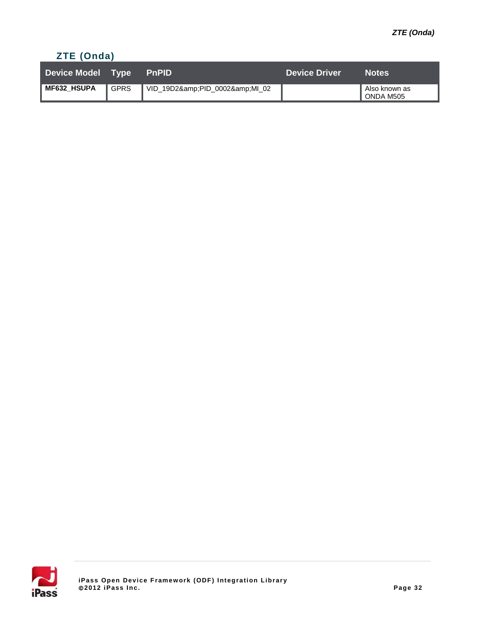## **ZTE (Onda)**

| Device Model Type PnPID |        |                         | <b>Device Driver</b> | <b>Notes</b>                 |
|-------------------------|--------|-------------------------|----------------------|------------------------------|
| MF632_HSUPA             | ∥ GPRS | VID_19D2&PID_0002&MI_02 |                      | Also known as<br>I ONDA M505 |

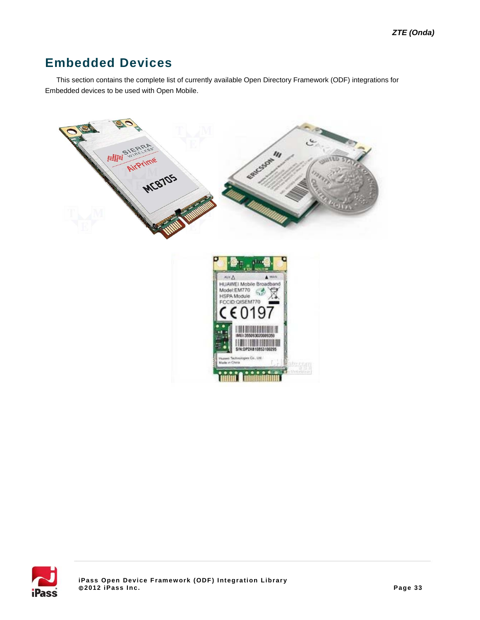## **Embedded Devices**

This section contains the complete list of currently available Open Directory Framework (ODF) integrations for Embedded devices to be used with Open Mobile.



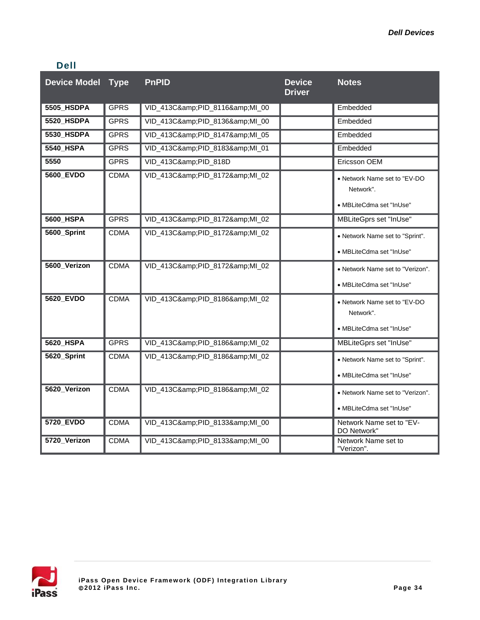### **Dell**

| <b>Device Model Type</b> |             | <b>PnPID</b>            | <b>Device</b><br><b>Driver</b> | <b>Notes</b>                                                           |
|--------------------------|-------------|-------------------------|--------------------------------|------------------------------------------------------------------------|
| 5505_HSDPA               | <b>GPRS</b> | VID_413C&PID_8116&MI_00 |                                | Embedded                                                               |
| 5520 HSDPA               | <b>GPRS</b> | VID 413C&PID 8136&MI 00 |                                | Embedded                                                               |
| 5530_HSDPA               | <b>GPRS</b> | VID_413C&PID_8147&MI_05 |                                | Embedded                                                               |
| <b>5540 HSPA</b>         | <b>GPRS</b> | VID_413C&PID_8183&MI_01 |                                | Embedded                                                               |
| 5550                     | <b>GPRS</b> | VID_413C&PID_818D       |                                | Ericsson OEM                                                           |
| <b>5600 EVDO</b>         | <b>CDMA</b> | VID_413C&PID_8172&MI_02 |                                | • Network Name set to "EV-DO"<br>Network".<br>• MBLiteCdma set "InUse" |
| 5600_HSPA                | <b>GPRS</b> | VID_413C&PID_8172&MI_02 |                                | MBLiteGprs set "InUse"                                                 |
| 5600_Sprint              | <b>CDMA</b> | VID_413C&PID_8172&MI_02 |                                | • Network Name set to "Sprint".<br>• MBLiteCdma set "InUse"            |
| 5600_Verizon             | <b>CDMA</b> | VID_413C&PID_8172&MI_02 |                                | • Network Name set to "Verizon".<br>• MBLiteCdma set "InUse"           |
| 5620 EVDO                | <b>CDMA</b> | VID_413C&PID_8186&MI_02 |                                | • Network Name set to "EV-DO<br>Network".<br>• MBLiteCdma set "InUse"  |
| 5620_HSPA                | <b>GPRS</b> | VID_413C&PID_8186&MI_02 |                                | MBLiteGprs set "InUse"                                                 |
| 5620_Sprint              | <b>CDMA</b> | VID_413C&PID_8186&MI_02 |                                | • Network Name set to "Sprint".<br>• MBLiteCdma set "InUse"            |
| 5620_Verizon             | <b>CDMA</b> | VID_413C&PID_8186&MI_02 |                                | • Network Name set to "Verizon".<br>· MBLiteCdma set "InUse"           |
| 5720 EVDO                | <b>CDMA</b> | VID 413C&PID 8133&MI 00 |                                | Network Name set to "EV-<br>DO Network"                                |
| 5720_Verizon             | <b>CDMA</b> | VID_413C&PID_8133&MI_00 |                                | Network Name set to<br>"Verizon".                                      |

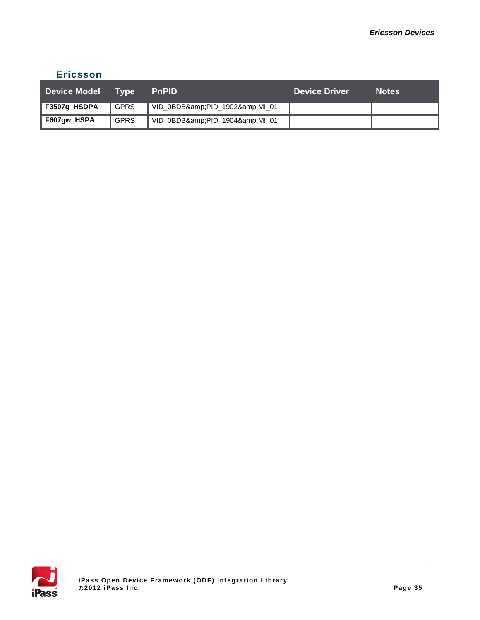### **Ericsson**

| Device Model Type |             | <b>PnPID</b>            | <b>Device Driver</b> | <b>Notes</b> |
|-------------------|-------------|-------------------------|----------------------|--------------|
| F3507g_HSDPA      | <b>GPRS</b> | VID_0BDB&PID_1902&MI_01 |                      |              |
| F607gw_HSPA       | <b>GPRS</b> | VID_0BDB&PID_1904&MI_01 |                      |              |

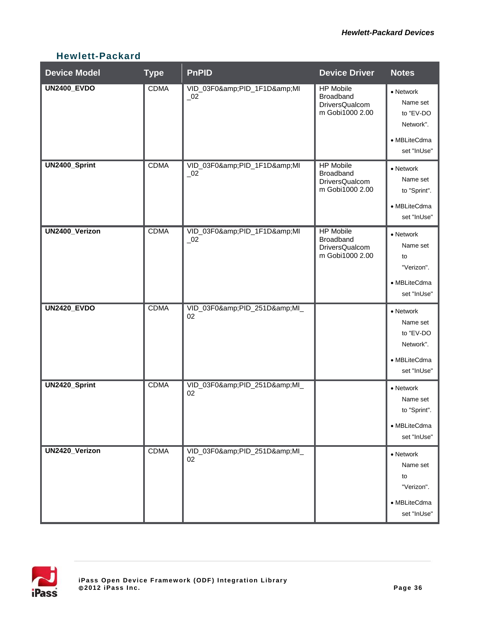## **Hewlett-Packard**

| <b>Device Model</b> | <b>Type</b> | <b>PnPID</b>                                       | <b>Device Driver</b>                                                             | <b>Notes</b>                                                                   |
|---------------------|-------------|----------------------------------------------------|----------------------------------------------------------------------------------|--------------------------------------------------------------------------------|
| <b>UN2400_EVDO</b>  | <b>CDMA</b> | VID_03F0&PID_1F1D&MI<br>$\overline{\phantom{0}}02$ | <b>HP Mobile</b><br><b>Broadband</b><br><b>DriversQualcom</b><br>m Gobi1000 2.00 | • Network<br>Name set<br>to "EV-DO<br>Network".<br>• MBLiteCdma<br>set "InUse" |
| UN2400_Sprint       | <b>CDMA</b> | VID_03F0&PID_1F1D&MI<br>$\_02$                     | <b>HP Mobile</b><br>Broadband<br>DriversQualcom<br>m Gobi1000 2.00               | • Network<br>Name set<br>to "Sprint".<br>• MBLiteCdma<br>set "InUse"           |
| UN2400_Verizon      | <b>CDMA</b> | VID_03F0&PID_1F1D&MI<br>$\overline{\phantom{0}}02$ | <b>HP Mobile</b><br>Broadband<br>DriversQualcom<br>m Gobi1000 2.00               | • Network<br>Name set<br>to<br>"Verizon".<br>• MBLiteCdma<br>set "InUse"       |
| <b>UN2420_EVDO</b>  | <b>CDMA</b> | VID_03F0&PID_251D&MI_<br>02                        |                                                                                  | • Network<br>Name set<br>to "EV-DO<br>Network".<br>• MBLiteCdma<br>set "InUse" |
| UN2420_Sprint       | <b>CDMA</b> | VID_03F0&PID_251D&MI_<br>02                        |                                                                                  | • Network<br>Name set<br>to "Sprint".<br>• MBLiteCdma<br>set "InUse"           |
| UN2420_Verizon      | <b>CDMA</b> | VID_03F0&PID_251D&MI_<br>02                        |                                                                                  | • Network<br>Name set<br>to<br>"Verizon".<br>• MBLiteCdma<br>set "InUse"       |

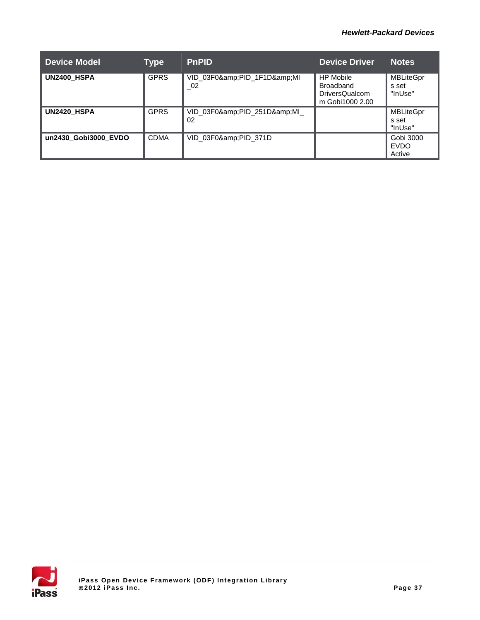#### *Hewlett-Packard Devices*

| <b>Device Model</b>  | Type        | <b>PnPID</b>                        | <b>Device Driver</b>                                                      | <b>Notes</b>                         |
|----------------------|-------------|-------------------------------------|---------------------------------------------------------------------------|--------------------------------------|
| <b>UN2400 HSPA</b>   | <b>GPRS</b> | VID_03F0&PID_1F1D&MI<br>$\sqrt{02}$ | <b>HP Mobile</b><br>Broadband<br><b>DriversQualcom</b><br>m Gobi1000 2.00 | <b>MBLiteGpr</b><br>s set<br>"InUse" |
| UN2420 HSPA          | <b>GPRS</b> | VID_03F0&PID_251D&MI_<br>02         |                                                                           | <b>MBLiteGpr</b><br>s set<br>"InUse" |
| un2430 Gobi3000 EVDO | <b>CDMA</b> | VID_03F0&PID_371D                   |                                                                           | Gobi 3000<br><b>EVDO</b><br>Active   |

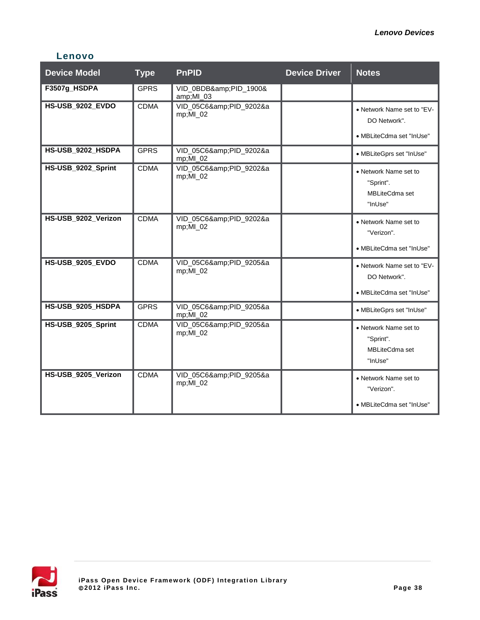### **Lenovo**

| <b>Device Model</b>     | <b>Type</b> | <b>PnPID</b>                           | <b>Device Driver</b> | <b>Notes</b>                                                           |
|-------------------------|-------------|----------------------------------------|----------------------|------------------------------------------------------------------------|
| F3507g_HSDPA            | <b>GPRS</b> | VID_0BDB&PID_1900&<br>amp;MI_03        |                      |                                                                        |
| <b>HS-USB 9202 EVDO</b> | <b>CDMA</b> | VID_05C6&PID_9202&a<br>mp;MI_02        |                      | • Network Name set to "EV-<br>DO Network".<br>• MBLiteCdma set "InUse" |
| HS-USB_9202_HSDPA       | <b>GPRS</b> | VID_05C6&PID_9202&a<br>$mp;$ MI $_0$ 2 |                      | • MBLiteGprs set "InUse"                                               |
| HS-USB_9202_Sprint      | <b>CDMA</b> | VID 05C6&PID 9202&a<br>mp;MI_02        |                      | • Network Name set to<br>"Sprint".<br>MBLiteCdma set<br>"InUse"        |
| HS-USB_9202_Verizon     | <b>CDMA</b> | VID_05C6&PID_9202&a<br>mp;MI_02        |                      | • Network Name set to<br>"Verizon".<br>• MBLiteCdma set "InUse"        |
| <b>HS-USB 9205 EVDO</b> | <b>CDMA</b> | VID_05C6&PID_9205&a<br>mp;MI_02        |                      | • Network Name set to "EV-<br>DO Network".<br>• MBLiteCdma set "InUse" |
| HS-USB_9205_HSDPA       | <b>GPRS</b> | VID_05C6&PID_9205&a<br>$mp;MI_02$      |                      | • MBLiteGprs set "InUse"                                               |
| HS-USB_9205_Sprint      | <b>CDMA</b> | VID_05C6&PID_9205&a<br>mp;MI_02        |                      | • Network Name set to<br>"Sprint".<br><b>MBLiteCdma set</b><br>"InUse" |
| HS-USB_9205_Verizon     | <b>CDMA</b> | VID_05C6&PID_9205&a<br>mp;MI_02        |                      | • Network Name set to<br>"Verizon".<br>• MBLiteCdma set "InUse"        |

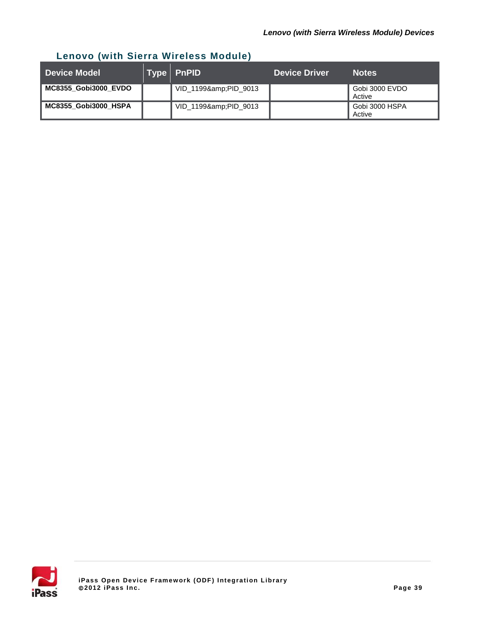## **Lenovo (with Sierra Wireless Module)**

| <b>Device Model</b>  | Type PnPID        | <b>Device Driver</b> | <b>Notes</b>             |
|----------------------|-------------------|----------------------|--------------------------|
| MC8355_Gobi3000_EVDO | VID_1199&PID_9013 |                      | Gobi 3000 EVDO<br>Active |
| MC8355 Gobi3000 HSPA | VID_1199&PID_9013 |                      | Gobi 3000 HSPA<br>Active |